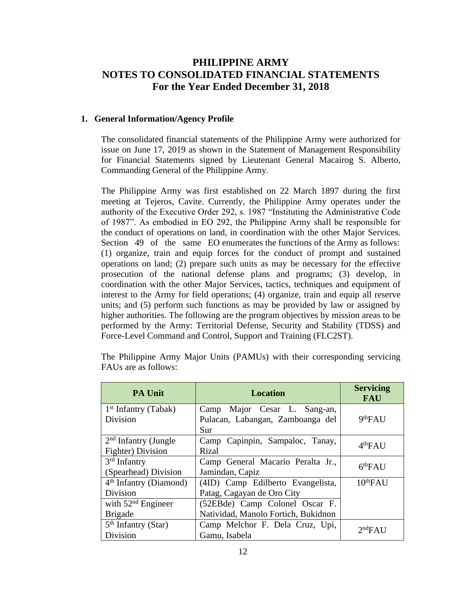## **PHILIPPINE ARMY NOTES TO CONSOLIDATED FINANCIAL STATEMENTS For the Year Ended December 31, 2018**

#### **1. General Information/Agency Profile**

The consolidated financial statements of the Philippine Army were authorized for issue on June 17, 2019 as shown in the Statement of Management Responsibility for Financial Statements signed by Lieutenant General Macairog S. Alberto, Commanding General of the Philippine Army.

The Philippine Army was first established on 22 March 1897 during the first meeting at Tejeros, Cavite. Currently, the Philippine Army operates under the authority of the Executive Order 292, s. 1987 "Instituting the Administrative Code of 1987". As embodied in EO 292, the Philippine Army shall be responsible for the conduct of operations on land, in coordination with the other Major Services. Section 49 of the same EO enumerates the functions of the Army as follows: (1) organize, train and equip forces for the conduct of prompt and sustained operations on land; (2) prepare such units as may be necessary for the effective prosecution of the national defense plans and programs; (3) develop, in coordination with the other Major Services, tactics, techniques and equipment of interest to the Army for field operations; (4) organize, train and equip all reserve units; and (5) perform such functions as may be provided by law or assigned by higher authorities. The following are the program objectives by mission areas to be performed by the Army: Territorial Defense, Security and Stability (TDSS) and Force-Level Command and Control, Support and Training (FLC2ST).

| <b>PA Unit</b>                                   | <b>Location</b>                                                       | <b>Servicing</b><br><b>FAU</b> |
|--------------------------------------------------|-----------------------------------------------------------------------|--------------------------------|
| $1st$ Infantry (Tabak)<br>Division               | Camp Major Cesar L. Sang-an,<br>Pulacan, Labangan, Zamboanga del      | 9 <sup>th</sup> FAU            |
| $2nd$ Infantry (Jungle<br>Fighter) Division      | Sur<br>Camp Capinpin, Sampaloc, Tanay,<br>Rizal                       | 4 <sup>th</sup> FAU            |
| 3 <sup>rd</sup> Infantry<br>(Spearhead) Division | Camp General Macario Peralta Jr.,<br>Jamindan, Capiz                  | 6 <sup>th</sup> FAU            |
| $4th$ Infantry (Diamond)                         | (4ID) Camp Edilberto Evangelista,                                     | $10^{th}$ FAU                  |
| Division                                         | Patag, Cagayan de Oro City                                            |                                |
| with $52nd$ Engineer<br><b>Brigade</b>           | (52EBde) Camp Colonel Oscar F.<br>Natividad, Manolo Fortich, Bukidnon |                                |
| $5th$ Infantry (Star)<br>Division                | Camp Melchor F. Dela Cruz, Upi,<br>Gamu, Isabela                      | 2 <sup>nd</sup> FAU            |
|                                                  |                                                                       |                                |

The Philippine Army Major Units (PAMUs) with their corresponding servicing FAUs are as follows: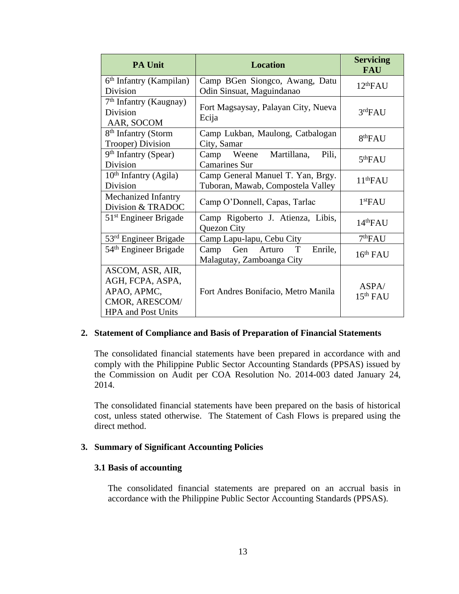| <b>PA Unit</b>                                                                                     | <b>Location</b>                                                        | <b>Servicing</b><br><b>FAU</b> |
|----------------------------------------------------------------------------------------------------|------------------------------------------------------------------------|--------------------------------|
| 6 <sup>th</sup> Infantry (Kampilan)<br>Division                                                    | Camp BGen Siongco, Awang, Datu<br>Odin Sinsuat, Maguindanao            | 12 <sup>th</sup> FAU           |
| 7 <sup>th</sup> Infantry (Kaugnay)<br><b>Division</b><br>AAR, SOCOM                                | Fort Magsaysay, Palayan City, Nueva<br>Ecija                           | 3 <sup>rd</sup> FAU            |
| 8 <sup>th</sup> Infantry (Storm<br>Trooper) Division                                               | Camp Lukban, Maulong, Catbalogan<br>City, Samar                        | 8 <sup>th</sup> FAU            |
| 9 <sup>th</sup> Infantry (Spear)<br><b>Division</b>                                                | Camp Weene Martillana,<br>Pili,<br><b>Camarines Sur</b>                | 5 <sup>th</sup> FAU            |
| $10th$ Infantry (Agila)<br>Division                                                                | Camp General Manuel T. Yan, Brgy.<br>Tuboran, Mawab, Compostela Valley | 11 <sup>th</sup> FAU           |
| Mechanized Infantry<br>Division & TRADOC                                                           | Camp O'Donnell, Capas, Tarlac                                          | 1 <sup>st</sup> FAU            |
| $51st$ Engineer Brigade                                                                            | Camp Rigoberto J. Atienza, Libis,<br>Quezon City                       | 14 <sup>th</sup> FAU           |
| 53 <sup>rd</sup> Engineer Brigade                                                                  | Camp Lapu-lapu, Cebu City                                              | 7 <sup>th</sup> FAU            |
| 54 <sup>th</sup> Engineer Brigade                                                                  | Camp Gen Arturo<br>T<br>Enrile,<br>Malagutay, Zamboanga City           | 16 <sup>th</sup> FAU           |
| ASCOM, ASR, AIR,<br>AGH, FCPA, ASPA,<br>APAO, APMC,<br>CMOR, ARESCOM/<br><b>HPA</b> and Post Units | Fort Andres Bonifacio, Metro Manila                                    | ASPA/<br>$15th$ FAU            |

#### **2. Statement of Compliance and Basis of Preparation of Financial Statements**

The consolidated financial statements have been prepared in accordance with and comply with the Philippine Public Sector Accounting Standards (PPSAS) issued by the Commission on Audit per COA Resolution No. 2014-003 dated January 24, 2014.

The consolidated financial statements have been prepared on the basis of historical cost, unless stated otherwise. The Statement of Cash Flows is prepared using the direct method.

#### **3. Summary of Significant Accounting Policies**

#### **3.1 Basis of accounting**

The consolidated financial statements are prepared on an accrual basis in accordance with the Philippine Public Sector Accounting Standards (PPSAS).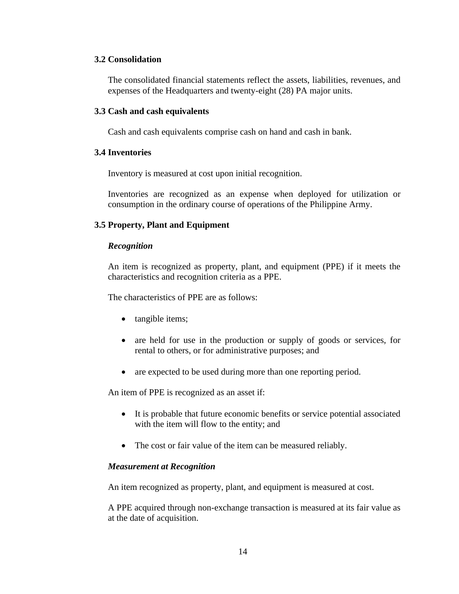#### **3.2 Consolidation**

The consolidated financial statements reflect the assets, liabilities, revenues, and expenses of the Headquarters and twenty-eight (28) PA major units.

#### **3.3 Cash and cash equivalents**

Cash and cash equivalents comprise cash on hand and cash in bank.

#### **3.4 Inventories**

Inventory is measured at cost upon initial recognition.

Inventories are recognized as an expense when deployed for utilization or consumption in the ordinary course of operations of the Philippine Army.

#### **3.5 Property, Plant and Equipment**

#### *Recognition*

An item is recognized as property, plant, and equipment (PPE) if it meets the characteristics and recognition criteria as a PPE.

The characteristics of PPE are as follows:

- tangible items;
- are held for use in the production or supply of goods or services, for rental to others, or for administrative purposes; and
- are expected to be used during more than one reporting period.

An item of PPE is recognized as an asset if:

- It is probable that future economic benefits or service potential associated with the item will flow to the entity; and
- The cost or fair value of the item can be measured reliably.

#### *Measurement at Recognition*

An item recognized as property, plant, and equipment is measured at cost.

A PPE acquired through non-exchange transaction is measured at its fair value as at the date of acquisition.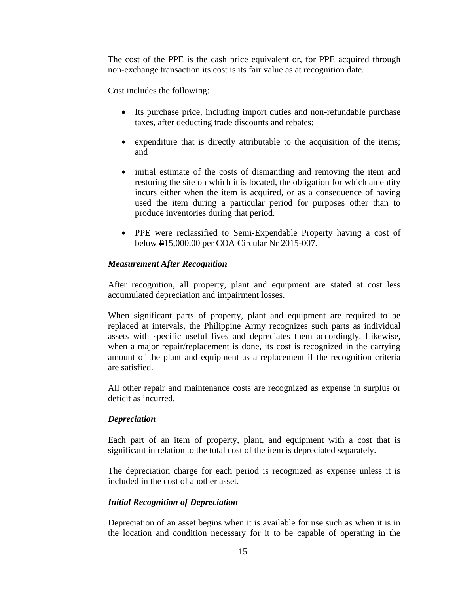The cost of the PPE is the cash price equivalent or, for PPE acquired through non-exchange transaction its cost is its fair value as at recognition date.

Cost includes the following:

- Its purchase price, including import duties and non-refundable purchase taxes, after deducting trade discounts and rebates;
- expenditure that is directly attributable to the acquisition of the items; and
- initial estimate of the costs of dismantling and removing the item and restoring the site on which it is located, the obligation for which an entity incurs either when the item is acquired, or as a consequence of having used the item during a particular period for purposes other than to produce inventories during that period.
- PPE were reclassified to Semi-Expendable Property having a cost of below P15,000.00 per COA Circular Nr 2015-007.

#### *Measurement After Recognition*

After recognition, all property, plant and equipment are stated at cost less accumulated depreciation and impairment losses.

When significant parts of property, plant and equipment are required to be replaced at intervals, the Philippine Army recognizes such parts as individual assets with specific useful lives and depreciates them accordingly. Likewise, when a major repair/replacement is done, its cost is recognized in the carrying amount of the plant and equipment as a replacement if the recognition criteria are satisfied.

All other repair and maintenance costs are recognized as expense in surplus or deficit as incurred.

#### *Depreciation*

Each part of an item of property, plant, and equipment with a cost that is significant in relation to the total cost of the item is depreciated separately.

The depreciation charge for each period is recognized as expense unless it is included in the cost of another asset.

#### *Initial Recognition of Depreciation*

Depreciation of an asset begins when it is available for use such as when it is in the location and condition necessary for it to be capable of operating in the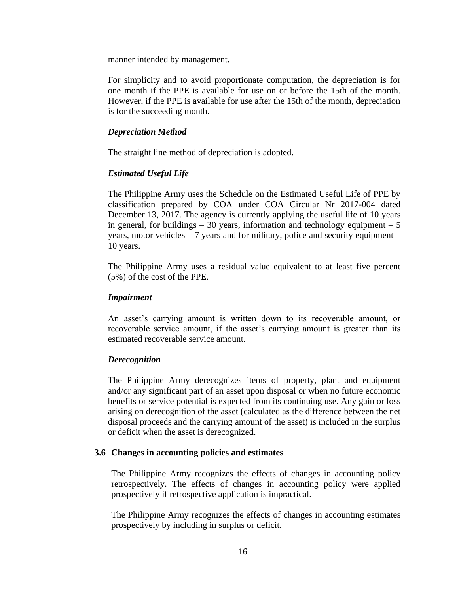manner intended by management.

For simplicity and to avoid proportionate computation, the depreciation is for one month if the PPE is available for use on or before the 15th of the month. However, if the PPE is available for use after the 15th of the month, depreciation is for the succeeding month.

#### *Depreciation Method*

The straight line method of depreciation is adopted.

#### *Estimated Useful Life*

The Philippine Army uses the Schedule on the Estimated Useful Life of PPE by classification prepared by COA under COA Circular Nr 2017-004 dated December 13, 2017. The agency is currently applying the useful life of 10 years in general, for buildings  $-30$  years, information and technology equipment  $-5$ years, motor vehicles – 7 years and for military, police and security equipment – 10 years.

The Philippine Army uses a residual value equivalent to at least five percent (5%) of the cost of the PPE.

#### *Impairment*

An asset's carrying amount is written down to its recoverable amount, or recoverable service amount, if the asset's carrying amount is greater than its estimated recoverable service amount.

#### *Derecognition*

The Philippine Army derecognizes items of property, plant and equipment and/or any significant part of an asset upon disposal or when no future economic benefits or service potential is expected from its continuing use. Any gain or loss arising on derecognition of the asset (calculated as the difference between the net disposal proceeds and the carrying amount of the asset) is included in the surplus or deficit when the asset is derecognized.

#### **3.6 Changes in accounting policies and estimates**

The Philippine Army recognizes the effects of changes in accounting policy retrospectively. The effects of changes in accounting policy were applied prospectively if retrospective application is impractical.

The Philippine Army recognizes the effects of changes in accounting estimates prospectively by including in surplus or deficit.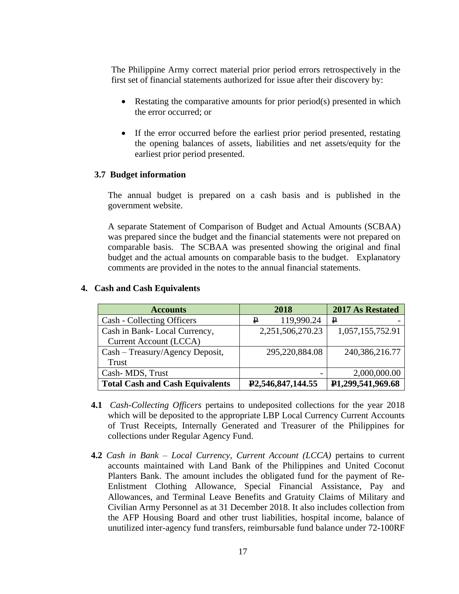The Philippine Army correct material prior period errors retrospectively in the first set of financial statements authorized for issue after their discovery by:

- Restating the comparative amounts for prior period(s) presented in which the error occurred; or
- If the error occurred before the earliest prior period presented, restating the opening balances of assets, liabilities and net assets/equity for the earliest prior period presented.

#### **3.7 Budget information**

The annual budget is prepared on a cash basis and is published in the government website.

A separate Statement of Comparison of Budget and Actual Amounts (SCBAA) was prepared since the budget and the financial statements were not prepared on comparable basis. The SCBAA was presented showing the original and final budget and the actual amounts on comparable basis to the budget. Explanatory comments are provided in the notes to the annual financial statements.

| <b>Accounts</b>                        | 2018                               | 2017 As Restated  |
|----------------------------------------|------------------------------------|-------------------|
| Cash - Collecting Officers             | 119,990.24<br>₽                    | ₽                 |
| Cash in Bank-Local Currency,           | 2,251,506,270.23                   | 1,057,155,752.91  |
| <b>Current Account (LCCA)</b>          |                                    |                   |
| Cash – Treasury/Agency Deposit,        | 295,220,884.08                     | 240,386,216.77    |
| Trust                                  |                                    |                   |
| Cash-MDS, Trust                        |                                    | 2,000,000.00      |
| <b>Total Cash and Cash Equivalents</b> | P <sub>2</sub> , 546, 847, 144, 55 | P1,299,541,969.68 |

#### **4. Cash and Cash Equivalents**

- **4.1** *Cash-Collecting Officers* pertains to undeposited collections for the year 2018 which will be deposited to the appropriate LBP Local Currency Current Accounts of Trust Receipts, Internally Generated and Treasurer of the Philippines for collections under Regular Agency Fund.
- **4.2** *Cash in Bank – Local Currency, Current Account (LCCA)* pertains to current accounts maintained with Land Bank of the Philippines and United Coconut Planters Bank. The amount includes the obligated fund for the payment of Re-Enlistment Clothing Allowance, Special Financial Assistance, Pay and Allowances, and Terminal Leave Benefits and Gratuity Claims of Military and Civilian Army Personnel as at 31 December 2018. It also includes collection from the AFP Housing Board and other trust liabilities, hospital income, balance of unutilized inter-agency fund transfers, reimbursable fund balance under 72-100RF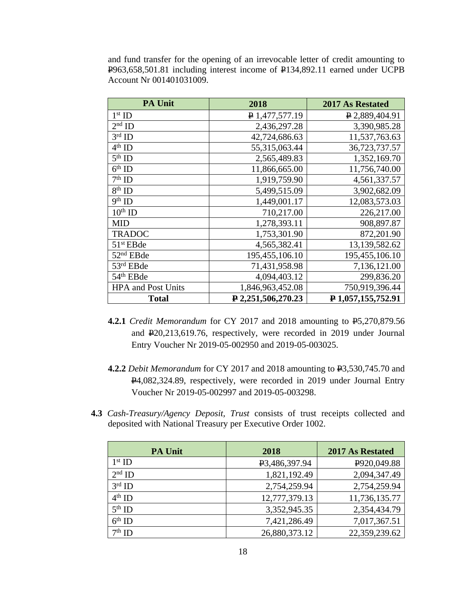and fund transfer for the opening of an irrevocable letter of credit amounting to P963,658,501.81 including interest income of P134,892.11 earned under UCPB Account Nr 001401031009.

| <b>PA Unit</b>            | 2018               | <b>2017 As Restated</b> |
|---------------------------|--------------------|-------------------------|
| $1st$ ID                  | $P$ 1,477,577.19   | P 2,889,404.91          |
| $2nd$ ID                  | 2,436,297.28       | 3,390,985.28            |
| $3rd$ ID                  | 42,724,686.63      | 11,537,763.63           |
| $4^{\text{th}}$ ID        | 55,315,063.44      | 36,723,737.57           |
| $5th$ ID                  | 2,565,489.83       | 1,352,169.70            |
| $6th$ ID                  | 11,866,665.00      | 11,756,740.00           |
| $7th$ ID                  | 1,919,759.90       | 4,561,337.57            |
| $8th$ ID                  | 5,499,515.09       | 3,902,682.09            |
| $9th$ ID                  | 1,449,001.17       | 12,083,573.03           |
| $10^{th}$ ID              | 710,217.00         | 226,217.00              |
| <b>MID</b>                | 1,278,393.11       | 908,897.87              |
| <b>TRADOC</b>             | 1,753,301.90       | 872,201.90              |
| $51st$ EBde               | 4,565,382.41       | 13,139,582.62           |
| $52nd$ EBde               | 195,455,106.10     | 195,455,106.10          |
| 53rd EBde                 | 71,431,958.98      | 7,136,121.00            |
| 54 <sup>th</sup> EBde     | 4,094,403.12       | 299,836.20              |
| <b>HPA</b> and Post Units | 1,846,963,452.08   | 750,919,396.44          |
| <b>Total</b>              | P 2,251,506,270.23 | P1,057,155,752.91       |

- **4.2.1** *Credit Memorandum* for CY 2017 and 2018 amounting to P5,270,879.56 and P20,213,619.76, respectively, were recorded in 2019 under Journal Entry Voucher Nr 2019-05-002950 and 2019-05-003025.
- **4.2.2** *Debit Memorandum* for CY 2017 and 2018 amounting to P3,530,745.70 and P4,082,324.89, respectively, were recorded in 2019 under Journal Entry Voucher Nr 2019-05-002997 and 2019-05-003298.
- **4.3** *Cash-Treasury/Agency Deposit, Trust* consists of trust receipts collected and deposited with National Treasury per Executive Order 1002.

| <b>PA Unit</b> | 2018                       | <b>2017 As Restated</b> |
|----------------|----------------------------|-------------------------|
| $1st$ ID       | P <sub>3</sub> ,486,397.94 | P920,049.88             |
| $2nd$ ID       | 1,821,192.49               | 2,094,347.49            |
| $3rd$ ID       | 2,754,259.94               | 2,754,259.94            |
| $4th$ ID       | 12,777,379.13              | 11,736,135.77           |
| $5th$ ID       | 3,352,945.35               | 2,354,434.79            |
| $6th$ ID       | 7,421,286.49               | 7,017,367.51            |
| $7th$ ID       | 26,880,373.12              | 22,359,239.62           |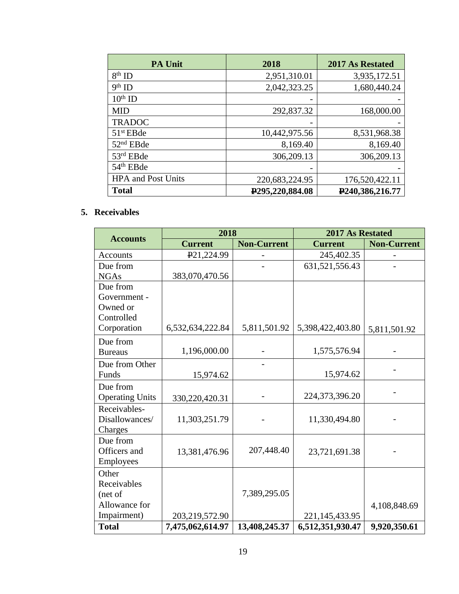| <b>PA Unit</b>            | 2018                            | <b>2017 As Restated</b>        |
|---------------------------|---------------------------------|--------------------------------|
| $8th$ ID                  | 2,951,310.01                    | 3,935,172.51                   |
| $9th$ ID                  | 2,042,323.25                    | 1,680,440.24                   |
| $10th$ ID                 |                                 |                                |
| <b>MID</b>                | 292,837.32                      | 168,000.00                     |
| <b>TRADOC</b>             |                                 |                                |
| $51st$ EBde               | 10,442,975.56                   | 8,531,968.38                   |
| 52 <sup>nd</sup> EBde     | 8,169.40                        | 8,169.40                       |
| 53rd EBde                 | 306,209.13                      | 306,209.13                     |
| 54 <sup>th</sup> EBde     |                                 |                                |
| <b>HPA</b> and Post Units | 220,683,224.95                  | 176,520,422.11                 |
| <b>Total</b>              | P <sub>295</sub> , 220, 884. 08 | P <sub>240</sub> , 386, 216.77 |

### **5. Receivables**

|                        | 2018                    |                    | 2017 As Restated  |                    |  |
|------------------------|-------------------------|--------------------|-------------------|--------------------|--|
| <b>Accounts</b>        | <b>Current</b>          | <b>Non-Current</b> | <b>Current</b>    | <b>Non-Current</b> |  |
| Accounts               | P <sub>21</sub> ,224.99 |                    | 245,402.35        |                    |  |
| Due from               |                         |                    | 631,521,556.43    |                    |  |
| <b>NGAs</b>            | 383,070,470.56          |                    |                   |                    |  |
| Due from               |                         |                    |                   |                    |  |
| Government -           |                         |                    |                   |                    |  |
| Owned or               |                         |                    |                   |                    |  |
| Controlled             |                         |                    |                   |                    |  |
| Corporation            | 6,532,634,222.84        | 5,811,501.92       | 5,398,422,403.80  | 5,811,501.92       |  |
| Due from               |                         |                    |                   |                    |  |
| <b>Bureaus</b>         | 1,196,000.00            |                    | 1,575,576.94      |                    |  |
| Due from Other         |                         |                    |                   |                    |  |
| Funds                  | 15,974.62               |                    | 15,974.62         |                    |  |
| Due from               |                         |                    |                   |                    |  |
| <b>Operating Units</b> | 330,220,420.31          |                    | 224,373,396.20    |                    |  |
| Receivables-           |                         |                    |                   |                    |  |
| Disallowances/         | 11,303,251.79           |                    | 11,330,494.80     |                    |  |
| Charges                |                         |                    |                   |                    |  |
| Due from               |                         |                    |                   |                    |  |
| Officers and           | 13,381,476.96           | 207,448.40         | 23,721,691.38     |                    |  |
| Employees              |                         |                    |                   |                    |  |
| Other                  |                         |                    |                   |                    |  |
| Receivables            |                         |                    |                   |                    |  |
| (net of                |                         | 7,389,295.05       |                   |                    |  |
| Allowance for          |                         |                    |                   | 4,108,848.69       |  |
| Impairment)            | 203,219,572.90          |                    | 221, 145, 433. 95 |                    |  |
| <b>Total</b>           | 7,475,062,614.97        | 13,408,245.37      | 6,512,351,930.47  | 9,920,350.61       |  |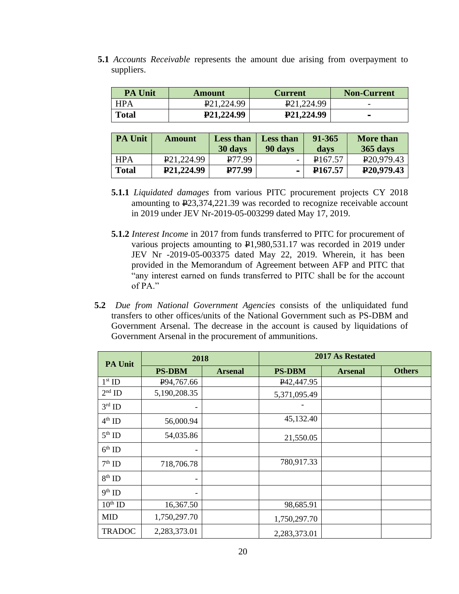**5.1** *Accounts Receivable* represents the amount due arising from overpayment to suppliers.

| <b>PA Unit</b> | Amount                   | <b>Current</b>           | <b>Non-Current</b>       |
|----------------|--------------------------|--------------------------|--------------------------|
| <b>HPA</b>     | P <sub>21</sub> , 224.99 | P <sub>21</sub> , 224.99 | $\overline{\phantom{0}}$ |
| <b>Total</b>   | P21,224.99               | P21,224.99               | $\sim$                   |
|                |                          |                          |                          |

| <b>PA Unit</b> | <b>Amount</b>          | <b>Less than</b>   | <b>Less than</b> | 91-365              | <b>More than</b>        |
|----------------|------------------------|--------------------|------------------|---------------------|-------------------------|
|                |                        | 30 days            | 90 days          | days                | 365 days                |
| <b>HPA</b>     | P <sub>21,224.99</sub> | P77.99             |                  | P <sub>167.57</sub> | P <sub>20</sub> ,979.43 |
| <b>Total</b>   | P21,224.99             | P <sub>77.99</sub> |                  | P <sub>167.57</sub> | P <sub>20</sub> ,979.43 |
|                |                        |                    |                  |                     |                         |

- **5.1.1** *Liquidated damages* from various PITC procurement projects CY 2018 amounting to P23,374,221.39 was recorded to recognize receivable account in 2019 under JEV Nr-2019-05-003299 dated May 17, 2019.
- **5.1.2** *Interest Income* in 2017 from funds transferred to PITC for procurement of various projects amounting to P1,980,531.17 was recorded in 2019 under JEV Nr -2019-05-003375 dated May 22, 2019. Wherein, it has been provided in the Memorandum of Agreement between AFP and PITC that "any interest earned on funds transferred to PITC shall be for the account of PA."
- **5.2** *Due from National Government Agencies* consists of the unliquidated fund transfers to other offices/units of the National Government such as PS-DBM and Government Arsenal. The decrease in the account is caused by liquidations of Government Arsenal in the procurement of ammunitions.

| PA Unit            | 2018                     |                | 2017 As Restated         |                |               |
|--------------------|--------------------------|----------------|--------------------------|----------------|---------------|
|                    | <b>PS-DBM</b>            | <b>Arsenal</b> | <b>PS-DBM</b>            | <b>Arsenal</b> | <b>Others</b> |
| $1st$ ID           | P94,767.66               |                | P <sub>42</sub> , 447.95 |                |               |
| $2nd$ ID           | 5,190,208.35             |                | 5,371,095.49             |                |               |
| $3^{\text{rd}}$ ID | $\overline{\phantom{a}}$ |                |                          |                |               |
| $4th$ ID           | 56,000.94                |                | 45,132.40                |                |               |
| $5th$ ID           | 54,035.86                |                | 21,550.05                |                |               |
| $6th$ ID           | -                        |                |                          |                |               |
| $7^{\rm th}$ ID    | 718,706.78               |                | 780,917.33               |                |               |
| $8^{\rm th}$ ID    |                          |                |                          |                |               |
| $9th$ ID           | -                        |                |                          |                |               |
| $10^{th}$ ID       | 16,367.50                |                | 98,685.91                |                |               |
| <b>MID</b>         | 1,750,297.70             |                | 1,750,297.70             |                |               |
| <b>TRADOC</b>      | 2,283,373.01             |                | 2,283,373.01             |                |               |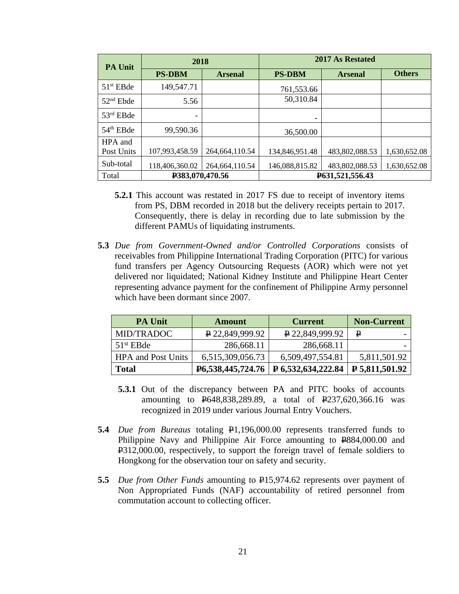| <b>PA Unit</b> | 2018            |                  | 2017 As Restated |                |               |
|----------------|-----------------|------------------|------------------|----------------|---------------|
|                | <b>PS-DBM</b>   | <b>Arsenal</b>   | <b>PS-DBM</b>    | <b>Arsenal</b> | <b>Others</b> |
| $51st$ EBde    | 149,547.71      |                  | 761,553.66       |                |               |
| $52nd$ Ebde    | 5.56            |                  | 50,310.84        |                |               |
| $53rd$ EBde    | -               |                  |                  |                |               |
| $54th$ EBde    | 99,590.36       |                  | 36,500.00        |                |               |
| HPA and        |                 |                  |                  |                |               |
| Post Units     | 107,993,458.59  | 264, 664, 110.54 | 134,846,951.48   | 483,802,088.53 | 1,630,652.08  |
| Sub-total      | 118,406,360.02  | 264,664,110.54   | 146,088,815.82   | 483,802,088.53 | 1,630,652.08  |
| Total          | P383,070,470.56 |                  | P631,521,556.43  |                |               |

- **5.2.1** This account was restated in 2017 FS due to receipt of inventory items from PS, DBM recorded in 2018 but the delivery receipts pertain to 2017. Consequently, there is delay in recording due to late submission by the different PAMUs of liquidating instruments.
- **5.3** *Due from Government-Owned and/or Controlled Corporations* consists of receivables from Philippine International Trading Corporation (PITC) for various fund transfers per Agency Outsourcing Requests (AOR) which were not yet delivered nor liquidated; National Kidney Institute and Philippine Heart Center representing advance payment for the confinement of Philippine Army personnel which have been dormant since 2007.

| <b>PA Unit</b>            | Amount                 | <b>Current</b>            | <b>Non-Current</b> |
|---------------------------|------------------------|---------------------------|--------------------|
| MID/TRADOC                | $\sqrt{22,849,999.92}$ | $\sqrt{22,849,999.92}$    | ₽                  |
| $51st$ EBde               | 286,668.11             | 286,668.11                |                    |
| <b>HPA</b> and Post Units | 6,515,309,056.73       | 6,509,497,554.81          | 5,811,501.92       |
| <b>Total</b>              | P6,538,445,724.76      | <b>P</b> 6,532,634,222.84 | $P$ 5,811,501.92   |

- **5.3.1** Out of the discrepancy between PA and PITC books of accounts amounting to P648,838,289.89, a total of P237,620,366.16 was recognized in 2019 under various Journal Entry Vouchers.
- **5.4** *Due from Bureaus* totaling P1,196,000.00 represents transferred funds to Philippine Navy and Philippine Air Force amounting to  $P$ 884,000.00 and P312,000.00, respectively, to support the foreign travel of female soldiers to Hongkong for the observation tour on safety and security.
- **5.5** *Due from Other Funds* amounting to  $\frac{1}{2}$ 15,974.62 represents over payment of Non Appropriated Funds (NAF) accountability of retired personnel from commutation account to collecting officer.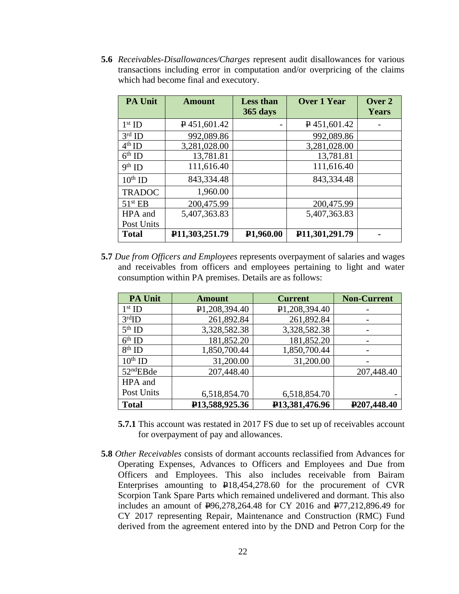**5.6** *Receivables-Disallowances/Charges* represent audit disallowances for various transactions including error in computation and/or overpricing of the claims which had become final and executory.

| <b>PA Unit</b>      | <b>Amount</b>                 | <b>Less than</b><br>365 days | <b>Over 1 Year</b> | Over 2<br>Years |
|---------------------|-------------------------------|------------------------------|--------------------|-----------------|
| $1st$ ID            | $\sqrt{451,601.42}$           |                              | $P$ 451,601.42     |                 |
| $3rd$ ID            | 992,089.86                    |                              | 992,089.86         |                 |
| $4th$ ID            | 3,281,028.00                  |                              | 3,281,028.00       |                 |
| $6th$ ID            | 13,781.81                     |                              | 13,781.81          |                 |
| $9th$ ID            | 111,616.40                    |                              | 111,616.40         |                 |
| $10th$ ID           | 843,334.48                    |                              | 843,334.48         |                 |
| <b>TRADOC</b>       | 1,960.00                      |                              |                    |                 |
| 51 <sup>st</sup> EB | 200,475.99                    |                              | 200,475.99         |                 |
| HPA and             | 5,407,363.83                  |                              | 5,407,363.83       |                 |
| Post Units          |                               |                              |                    |                 |
| <b>Total</b>        | P <sub>11</sub> , 303, 251.79 | P <sub>1,960.00</sub>        | P11,301,291.79     |                 |

**5.7** *Due from Officers and Employees* represents overpayment of salaries and wages and receivables from officers and employees pertaining to light and water consumption within PA premises. Details are as follows:

| <b>PA Unit</b>        | <b>Amount</b>               | <b>Current</b>             | <b>Non-Current</b>       |
|-----------------------|-----------------------------|----------------------------|--------------------------|
| $1st$ ID              | P <sub>1</sub> ,208,394.40  | P <sub>1</sub> ,208,394.40 |                          |
| $3rd$ ID              | 261,892.84                  | 261,892.84                 |                          |
| $5th$ ID              | 3,328,582.38                | 3,328,582.38               |                          |
| $6th$ ID              | 181,852.20                  | 181,852.20                 |                          |
| $8th$ ID              | 1,850,700.44                | 1,850,700.44               |                          |
| $10^{th}$ ID          | 31,200.00                   | 31,200.00                  |                          |
| 52 <sup>nd</sup> EBde | 207,448.40                  |                            | 207,448.40               |
| HPA and               |                             |                            |                          |
| Post Units            | 6,518,854.70                | 6,518,854.70               |                          |
| <b>Total</b>          | P <sub>13</sub> ,588,925.36 | P13,381,476.96             | P <sub>207</sub> ,448.40 |

- **5.7.1** This account was restated in 2017 FS due to set up of receivables account for overpayment of pay and allowances.
- **5.8** *Other Receivables* consists of dormant accounts reclassified from Advances for Operating Expenses, Advances to Officers and Employees and Due from Officers and Employees. This also includes receivable from Bairam Enterprises amounting to  $\text{P18,454,278.60}$  for the procurement of CVR Scorpion Tank Spare Parts which remained undelivered and dormant. This also includes an amount of P96,278,264.48 for CY 2016 and P77,212,896.49 for CY 2017 representing Repair, Maintenance and Construction (RMC) Fund derived from the agreement entered into by the DND and Petron Corp for the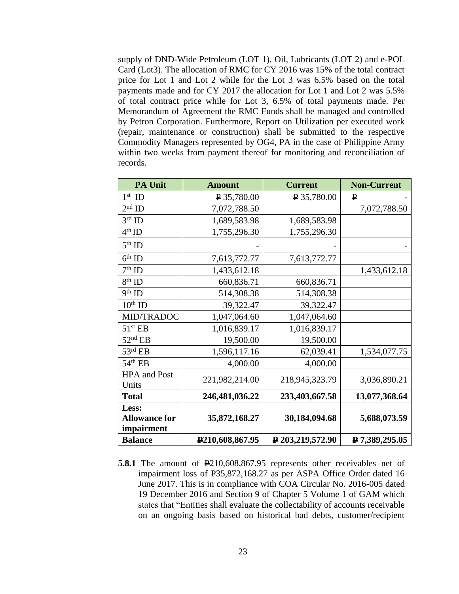supply of DND-Wide Petroleum (LOT 1), Oil, Lubricants (LOT 2) and e-POL Card (Lot3). The allocation of RMC for CY 2016 was 15% of the total contract price for Lot 1 and Lot 2 while for the Lot 3 was 6.5% based on the total payments made and for CY 2017 the allocation for Lot 1 and Lot 2 was 5.5% of total contract price while for Lot 3, 6.5% of total payments made. Per Memorandum of Agreement the RMC Funds shall be managed and controlled by Petron Corporation. Furthermore, Report on Utilization per executed work (repair, maintenance or construction) shall be submitted to the respective Commodity Managers represented by OG4, PA in the case of Philippine Army within two weeks from payment thereof for monitoring and reconciliation of records.

| <b>PA Unit</b>       | <b>Amount</b>        | <b>Current</b>   | <b>Non-Current</b> |
|----------------------|----------------------|------------------|--------------------|
| $1st$ ID             | $\sqrt{2}$ 35,780.00 | $P$ 35,780.00    | ₽                  |
| $2nd$ ID             | 7,072,788.50         |                  | 7,072,788.50       |
| $3rd$ ID             | 1,689,583.98         | 1,689,583.98     |                    |
| $4^{\text{th}}$ ID   | 1,755,296.30         | 1,755,296.30     |                    |
| $5th$ ID             |                      |                  |                    |
| $6th$ ID             | 7,613,772.77         | 7,613,772.77     |                    |
| $7th$ ID             | 1,433,612.18         |                  | 1,433,612.18       |
| $8th$ ID             | 660,836.71           | 660,836.71       |                    |
| $9th$ ID             | 514,308.38           | 514,308.38       |                    |
| $10th$ ID            | 39,322.47            | 39,322.47        |                    |
| <b>MID/TRADOC</b>    | 1,047,064.60         | 1,047,064.60     |                    |
| 51 <sup>st</sup> EB  | 1,016,839.17         | 1,016,839.17     |                    |
| $52nd$ EB            | 19,500.00            | 19,500.00        |                    |
| $53^{\text{rd}}$ EB  | 1,596,117.16         | 62,039.41        | 1,534,077.75       |
| $54th$ EB            | 4,000.00             | 4,000.00         |                    |
| <b>HPA</b> and Post  | 221,982,214.00       | 218,945,323.79   | 3,036,890.21       |
| Units                |                      |                  |                    |
| <b>Total</b>         | 246,481,036.22       | 233,403,667.58   | 13,077,368.64      |
| Less:                |                      |                  |                    |
| <b>Allowance for</b> | 35,872,168.27        | 30,184,094.68    | 5,688,073.59       |
| impairment           |                      |                  |                    |
| <b>Balance</b>       | P210,608,867.95      | P 203,219,572.90 | P 7,389,295.05     |

**5.8.1** The amount of  $\frac{1210,608,867.95}{210,608,867.95}$  represents other receivables net of impairment loss of P35,872,168.27 as per ASPA Office Order dated 16 June 2017. This is in compliance with COA Circular No. 2016-005 dated 19 December 2016 and Section 9 of Chapter 5 Volume 1 of GAM which states that "Entities shall evaluate the collectability of accounts receivable on an ongoing basis based on historical bad debts, customer/recipient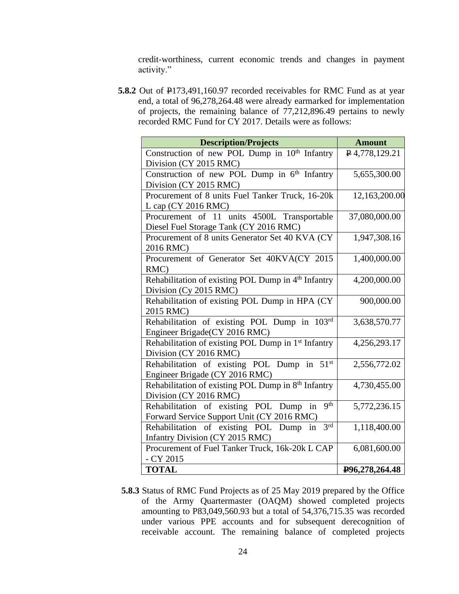credit-worthiness, current economic trends and changes in payment activity."

**5.8.2** Out of  $\text{P173,491,160.97}$  recorded receivables for RMC Fund as at year end, a total of 96,278,264.48 were already earmarked for implementation of projects, the remaining balance of 77,212,896.49 pertains to newly recorded RMC Fund for CY 2017. Details were as follows:

| <b>Description/Projects</b>                                     | <b>Amount</b>  |
|-----------------------------------------------------------------|----------------|
| Construction of new POL Dump in 10 <sup>th</sup> Infantry       | P4,778,129.21  |
| Division (CY 2015 RMC)                                          |                |
| Construction of new POL Dump in $6^{\overline{th}}$ Infantry    | 5,655,300.00   |
| Division (CY 2015 RMC)                                          |                |
| Procurement of 8 units Fuel Tanker Truck, 16-20k                | 12,163,200.00  |
| L cap $(CY 2016 RMC)$                                           |                |
| Procurement of 11 units 4500L Transportable                     | 37,080,000.00  |
| Diesel Fuel Storage Tank (CY 2016 RMC)                          |                |
| Procurement of 8 units Generator Set 40 KVA (CY)                | 1,947,308.16   |
| 2016 RMC)                                                       |                |
| Procurement of Generator Set 40KVA(CY 2015                      | 1,400,000.00   |
| RMC)                                                            |                |
| Rehabilitation of existing POL Dump in 4th Infantry             | 4,200,000.00   |
| Division (Cy 2015 RMC)                                          |                |
| Rehabilitation of existing POL Dump in HPA (CY                  | 900,000.00     |
| 2015 RMC)                                                       |                |
| Rehabilitation of existing POL Dump in 103rd                    | 3,638,570.77   |
| Engineer Brigade(CY 2016 RMC)                                   |                |
| Rehabilitation of existing POL Dump in 1 <sup>st</sup> Infantry | 4,256,293.17   |
| Division (CY 2016 RMC)                                          |                |
| Rehabilitation of existing POL Dump in 51st                     | 2,556,772.02   |
| Engineer Brigade (CY 2016 RMC)                                  |                |
| Rehabilitation of existing POL Dump in 8th Infantry             | 4,730,455.00   |
| Division (CY 2016 RMC)                                          |                |
| 9 <sup>th</sup><br>Rehabilitation of existing POL Dump in       | 5,772,236.15   |
| Forward Service Support Unit (CY 2016 RMC)                      |                |
| 3 <sup>rd</sup><br>Rehabilitation of existing POL Dump in       | 1,118,400.00   |
| <b>Infantry Division (CY 2015 RMC)</b>                          |                |
| Procurement of Fuel Tanker Truck, 16k-20k L CAP                 | 6,081,600.00   |
| $- CY$ 2015                                                     |                |
| <b>TOTAL</b>                                                    | P96,278,264.48 |

**5.8.3** Status of RMC Fund Projects as of 25 May 2019 prepared by the Office of the Army Quartermaster (OAQM) showed completed projects amounting to P83,049,560.93 but a total of 54,376,715.35 was recorded under various PPE accounts and for subsequent derecognition of receivable account. The remaining balance of completed projects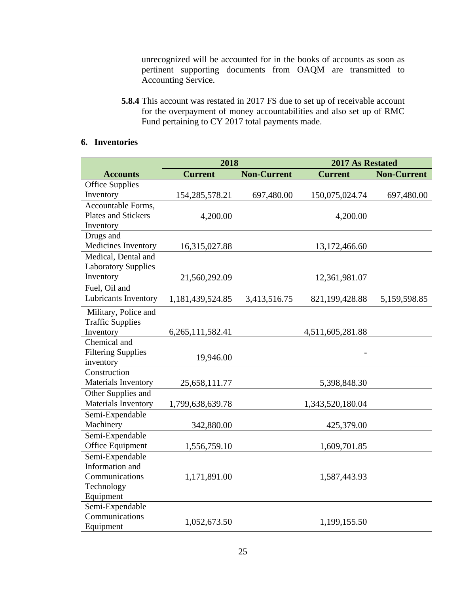unrecognized will be accounted for in the books of accounts as soon as pertinent supporting documents from OAQM are transmitted to Accounting Service.

**5.8.4** This account was restated in 2017 FS due to set up of receivable account for the overpayment of money accountabilities and also set up of RMC Fund pertaining to CY 2017 total payments made.

### **6. Inventories**

|                            | 2018              |                    | 2017 As Restated |                    |
|----------------------------|-------------------|--------------------|------------------|--------------------|
| <b>Accounts</b>            | <b>Current</b>    | <b>Non-Current</b> | <b>Current</b>   | <b>Non-Current</b> |
| <b>Office Supplies</b>     |                   |                    |                  |                    |
| Inventory                  | 154, 285, 578. 21 | 697,480.00         | 150,075,024.74   | 697,480.00         |
| Accountable Forms,         |                   |                    |                  |                    |
| <b>Plates and Stickers</b> | 4,200.00          |                    | 4,200.00         |                    |
| Inventory                  |                   |                    |                  |                    |
| Drugs and                  |                   |                    |                  |                    |
| Medicines Inventory        | 16,315,027.88     |                    | 13,172,466.60    |                    |
| Medical, Dental and        |                   |                    |                  |                    |
| <b>Laboratory Supplies</b> |                   |                    |                  |                    |
| Inventory                  | 21,560,292.09     |                    | 12,361,981.07    |                    |
| Fuel, Oil and              |                   |                    |                  |                    |
| Lubricants Inventory       | 1,181,439,524.85  | 3,413,516.75       | 821,199,428.88   | 5,159,598.85       |
| Military, Police and       |                   |                    |                  |                    |
| <b>Traffic Supplies</b>    |                   |                    |                  |                    |
| Inventory                  | 6,265,111,582.41  |                    | 4,511,605,281.88 |                    |
| Chemical and               |                   |                    |                  |                    |
| <b>Filtering Supplies</b>  | 19,946.00         |                    |                  |                    |
| inventory                  |                   |                    |                  |                    |
| Construction               |                   |                    |                  |                    |
| Materials Inventory        | 25,658,111.77     |                    | 5,398,848.30     |                    |
| Other Supplies and         |                   |                    |                  |                    |
| Materials Inventory        | 1,799,638,639.78  |                    | 1,343,520,180.04 |                    |
| Semi-Expendable            |                   |                    |                  |                    |
| Machinery                  | 342,880.00        |                    | 425,379.00       |                    |
| Semi-Expendable            |                   |                    |                  |                    |
| Office Equipment           | 1,556,759.10      |                    | 1,609,701.85     |                    |
| Semi-Expendable            |                   |                    |                  |                    |
| Information and            |                   |                    |                  |                    |
| Communications             | 1,171,891.00      |                    | 1,587,443.93     |                    |
| Technology                 |                   |                    |                  |                    |
| Equipment                  |                   |                    |                  |                    |
| Semi-Expendable            |                   |                    |                  |                    |
| Communications             | 1,052,673.50      |                    | 1,199,155.50     |                    |
| Equipment                  |                   |                    |                  |                    |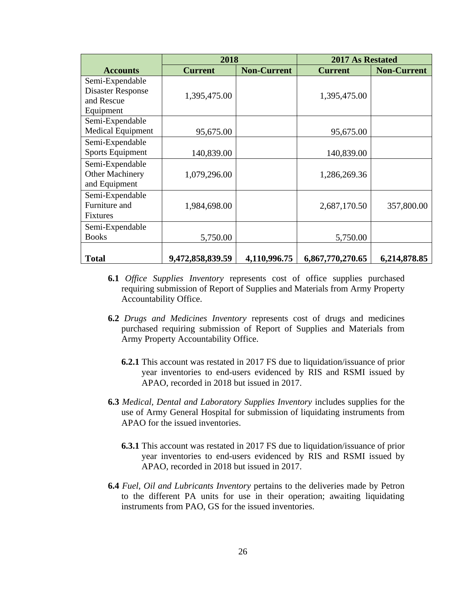|                          | 2018             |                    | <b>2017 As Restated</b> |                    |
|--------------------------|------------------|--------------------|-------------------------|--------------------|
| <b>Accounts</b>          | <b>Current</b>   | <b>Non-Current</b> | <b>Current</b>          | <b>Non-Current</b> |
| Semi-Expendable          |                  |                    |                         |                    |
| <b>Disaster Response</b> | 1,395,475.00     |                    | 1,395,475.00            |                    |
| and Rescue               |                  |                    |                         |                    |
| Equipment                |                  |                    |                         |                    |
| Semi-Expendable          |                  |                    |                         |                    |
| Medical Equipment        | 95,675.00        |                    | 95,675.00               |                    |
| Semi-Expendable          |                  |                    |                         |                    |
| <b>Sports Equipment</b>  | 140,839.00       |                    | 140,839.00              |                    |
| Semi-Expendable          |                  |                    |                         |                    |
| Other Machinery          | 1,079,296.00     |                    | 1,286,269.36            |                    |
| and Equipment            |                  |                    |                         |                    |
| Semi-Expendable          |                  |                    |                         |                    |
| Furniture and            | 1,984,698.00     |                    | 2,687,170.50            | 357,800.00         |
| Fixtures                 |                  |                    |                         |                    |
| Semi-Expendable          |                  |                    |                         |                    |
| <b>Books</b>             | 5,750.00         |                    | 5,750.00                |                    |
|                          |                  |                    |                         |                    |
| <b>Total</b>             | 9,472,858,839.59 | 4,110,996.75       | 6,867,770,270.65        | 6,214,878.85       |

- **6.1** *Office Supplies Inventory* represents cost of office supplies purchased requiring submission of Report of Supplies and Materials from Army Property Accountability Office.
- **6.2** *Drugs and Medicines Inventory* represents cost of drugs and medicines purchased requiring submission of Report of Supplies and Materials from Army Property Accountability Office.
	- **6.2.1** This account was restated in 2017 FS due to liquidation/issuance of prior year inventories to end-users evidenced by RIS and RSMI issued by APAO, recorded in 2018 but issued in 2017.
- **6.3** *Medical, Dental and Laboratory Supplies Inventory* includes supplies for the use of Army General Hospital for submission of liquidating instruments from APAO for the issued inventories.
	- **6.3.1** This account was restated in 2017 FS due to liquidation/issuance of prior year inventories to end-users evidenced by RIS and RSMI issued by APAO, recorded in 2018 but issued in 2017.
- **6.4** *Fuel, Oil and Lubricants Inventory* pertains to the deliveries made by Petron to the different PA units for use in their operation; awaiting liquidating instruments from PAO, GS for the issued inventories.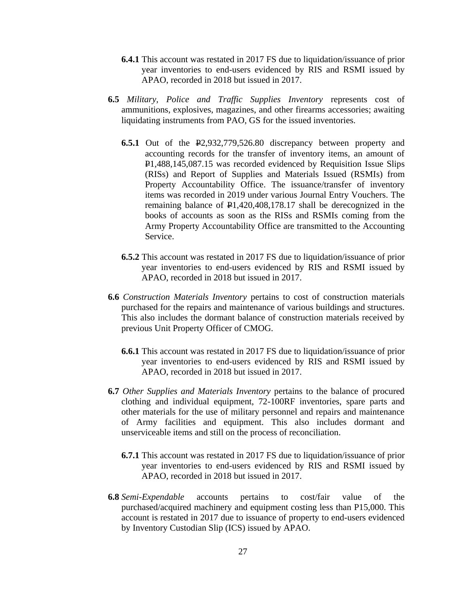- **6.4.1** This account was restated in 2017 FS due to liquidation/issuance of prior year inventories to end-users evidenced by RIS and RSMI issued by APAO, recorded in 2018 but issued in 2017.
- **6.5** *Military, Police and Traffic Supplies Inventory* represents cost of ammunitions, explosives, magazines, and other firearms accessories; awaiting liquidating instruments from PAO, GS for the issued inventories.
	- **6.5.1** Out of the P2,932,779,526.80 discrepancy between property and accounting records for the transfer of inventory items, an amount of P1,488,145,087.15 was recorded evidenced by Requisition Issue Slips (RISs) and Report of Supplies and Materials Issued (RSMIs) from Property Accountability Office. The issuance/transfer of inventory items was recorded in 2019 under various Journal Entry Vouchers. The remaining balance of  $\text{P1},420,408,178.17$  shall be derecognized in the books of accounts as soon as the RISs and RSMIs coming from the Army Property Accountability Office are transmitted to the Accounting Service.
	- **6.5.2** This account was restated in 2017 FS due to liquidation/issuance of prior year inventories to end-users evidenced by RIS and RSMI issued by APAO, recorded in 2018 but issued in 2017.
- **6.6** *Construction Materials Inventory* pertains to cost of construction materials purchased for the repairs and maintenance of various buildings and structures. This also includes the dormant balance of construction materials received by previous Unit Property Officer of CMOG.
	- **6.6.1** This account was restated in 2017 FS due to liquidation/issuance of prior year inventories to end-users evidenced by RIS and RSMI issued by APAO, recorded in 2018 but issued in 2017.
- **6.7** *Other Supplies and Materials Inventory* pertains to the balance of procured clothing and individual equipment, 72-100RF inventories, spare parts and other materials for the use of military personnel and repairs and maintenance of Army facilities and equipment. This also includes dormant and unserviceable items and still on the process of reconciliation.
	- **6.7.1** This account was restated in 2017 FS due to liquidation/issuance of prior year inventories to end-users evidenced by RIS and RSMI issued by APAO, recorded in 2018 but issued in 2017.
- **6.8** *Semi-Expendable* accounts pertains to cost/fair value of the purchased/acquired machinery and equipment costing less than P15,000. This account is restated in 2017 due to issuance of property to end-users evidenced by Inventory Custodian Slip (ICS) issued by APAO.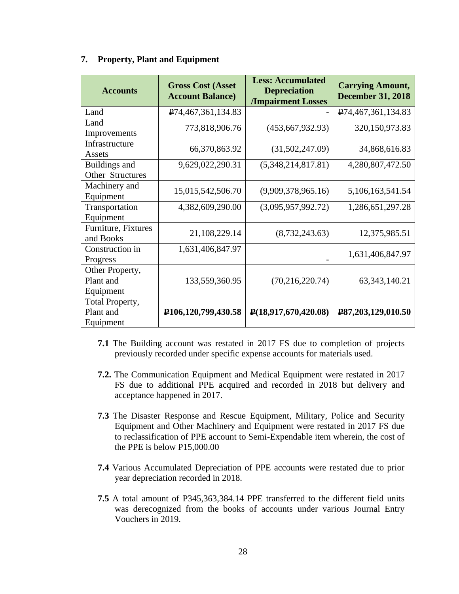| <b>Accounts</b>                           | <b>Gross Cost (Asset</b><br><b>Account Balance)</b> | <b>Less: Accumulated</b><br><b>Depreciation</b><br><b>/Impairment Losses</b> | <b>Carrying Amount,</b><br><b>December 31, 2018</b> |
|-------------------------------------------|-----------------------------------------------------|------------------------------------------------------------------------------|-----------------------------------------------------|
| Land                                      | P <sub>74</sub> ,467,361,134.83                     |                                                                              | P <sub>74</sub> ,467,361,134.83                     |
| Land<br>Improvements                      | 773,818,906.76                                      | (453, 667, 932.93)                                                           | 320,150,973.83                                      |
| Infrastructure<br>Assets                  | 66,370,863.92                                       | (31,502,247.09)                                                              | 34,868,616.83                                       |
| Buildings and<br>Other Structures         | 9,629,022,290.31                                    | (5,348,214,817.81)                                                           | 4,280,807,472.50                                    |
| Machinery and<br>Equipment                | 15,015,542,506.70                                   | (9,909,378,965.16)                                                           | 5,106,163,541.54                                    |
| Transportation<br>Equipment               | 4,382,609,290.00                                    | (3,095,957,992.72)                                                           | 1,286,651,297.28                                    |
| Furniture, Fixtures<br>and Books          | 21,108,229.14                                       | (8,732,243.63)                                                               | 12,375,985.51                                       |
| Construction in<br>Progress               | 1,631,406,847.97                                    |                                                                              | 1,631,406,847.97                                    |
| Other Property,<br>Plant and<br>Equipment | 133,559,360.95                                      | (70, 216, 220.74)                                                            | 63, 343, 140. 21                                    |
| Total Property,<br>Plant and<br>Equipment | P <sub>106</sub> ,120,799,430.58                    | $\mathbf{P}(18,917,670,420.08)$                                              | P87,203,129,010.50                                  |

#### **7. Property, Plant and Equipment**

- **7.1** The Building account was restated in 2017 FS due to completion of projects previously recorded under specific expense accounts for materials used.
- **7.2.** The Communication Equipment and Medical Equipment were restated in 2017 FS due to additional PPE acquired and recorded in 2018 but delivery and acceptance happened in 2017.
- **7.3** The Disaster Response and Rescue Equipment, Military, Police and Security Equipment and Other Machinery and Equipment were restated in 2017 FS due to reclassification of PPE account to Semi-Expendable item wherein, the cost of the PPE is below P15,000.00
- **7.4** Various Accumulated Depreciation of PPE accounts were restated due to prior year depreciation recorded in 2018.
- **7.5** A total amount of P345,363,384.14 PPE transferred to the different field units was derecognized from the books of accounts under various Journal Entry Vouchers in 2019.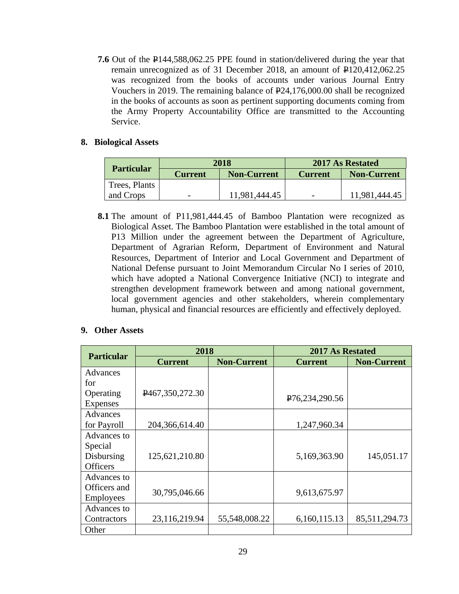**7.6** Out of the P144,588,062.25 PPE found in station/delivered during the year that remain unrecognized as of 31 December 2018, an amount of P120,412,062.25 was recognized from the books of accounts under various Journal Entry Vouchers in 2019. The remaining balance of P24,176,000.00 shall be recognized in the books of accounts as soon as pertinent supporting documents coming from the Army Property Accountability Office are transmitted to the Accounting Service.

#### **8. Biological Assets**

| <b>Particular</b> | 2018           |                    | 2017 As Restated |                    |
|-------------------|----------------|--------------------|------------------|--------------------|
|                   | <b>Current</b> | <b>Non-Current</b> | <b>Current</b>   | <b>Non-Current</b> |
| Trees, Plants     |                |                    |                  |                    |
| and Crops         |                | 11,981,444.45      |                  | 11.981,444.45      |

**8.1** The amount of P11,981,444.45 of Bamboo Plantation were recognized as Biological Asset. The Bamboo Plantation were established in the total amount of P13 Million under the agreement between the Department of Agriculture, Department of Agrarian Reform, Department of Environment and Natural Resources, Department of Interior and Local Government and Department of National Defense pursuant to Joint Memorandum Circular No I series of 2010, which have adopted a National Convergence Initiative (NCI) to integrate and strengthen development framework between and among national government, local government agencies and other stakeholders, wherein complementary human, physical and financial resources are efficiently and effectively deployed.

#### **9. Other Assets**

| <b>Particular</b> | 2018            |                    | 2017 As Restated              |                    |  |
|-------------------|-----------------|--------------------|-------------------------------|--------------------|--|
|                   | <b>Current</b>  | <b>Non-Current</b> | <b>Current</b>                | <b>Non-Current</b> |  |
| Advances          |                 |                    |                               |                    |  |
| for               |                 |                    |                               |                    |  |
| Operating         | P467,350,272.30 |                    | P <sub>76</sub> , 234, 290.56 |                    |  |
| <b>Expenses</b>   |                 |                    |                               |                    |  |
| Advances          |                 |                    |                               |                    |  |
| for Payroll       | 204,366,614.40  | 1,247,960.34       |                               |                    |  |
| Advances to       |                 |                    |                               |                    |  |
| Special           |                 |                    |                               |                    |  |
| Disbursing        | 125,621,210.80  |                    | 5,169,363.90                  | 145,051.17         |  |
| <b>Officers</b>   |                 |                    |                               |                    |  |
| Advances to       |                 |                    |                               |                    |  |
| Officers and      | 30,795,046.66   |                    | 9,613,675.97                  |                    |  |
| <b>Employees</b>  |                 |                    |                               |                    |  |
| Advances to       |                 |                    |                               |                    |  |
| Contractors       | 23,116,219.94   | 55,548,008.22      | 6,160,115.13                  | 85,511,294.73      |  |
| Other             |                 |                    |                               |                    |  |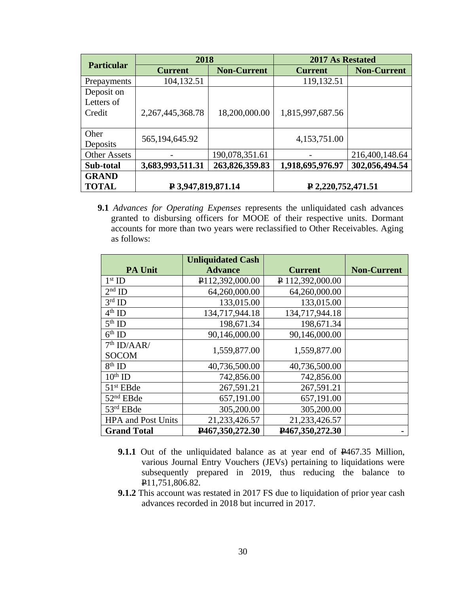| <b>Particular</b>                  | 2018                 |                    | 2017 As Restated          |                    |
|------------------------------------|----------------------|--------------------|---------------------------|--------------------|
|                                    | <b>Current</b>       | <b>Non-Current</b> | <b>Current</b>            | <b>Non-Current</b> |
| Prepayments                        | 104,132.51           |                    | 119,132.51                |                    |
| Deposit on<br>Letters of<br>Credit | 2, 267, 445, 368. 78 | 18,200,000.00      | 1,815,997,687.56          |                    |
| Oher<br>Deposits                   | 565, 194, 645. 92    |                    | 4,153,751.00              |                    |
| <b>Other Assets</b>                |                      | 190,078,351.61     |                           | 216,400,148.64     |
| Sub-total                          | 3,683,993,511.31     | 263,826,359.83     | 1,918,695,976.97          | 302,056,494.54     |
| <b>GRAND</b><br><b>TOTAL</b>       | ₽ 3,947,819,871.14   |                    | $\bf{P}$ 2,220,752,471.51 |                    |

**9.1** *Advances for Operating Expenses* represents the unliquidated cash advances granted to disbursing officers for MOOE of their respective units. Dormant accounts for more than two years were reclassified to Other Receivables. Aging as follows:

|                           | <b>Unliquidated Cash</b>       |                  |                    |
|---------------------------|--------------------------------|------------------|--------------------|
| <b>PA Unit</b>            | <b>Advance</b>                 | <b>Current</b>   | <b>Non-Current</b> |
| $1st$ ID                  | P <sub>112</sub> , 392, 000.00 | ₽ 112,392,000.00 |                    |
| $2nd$ ID                  | 64,260,000.00                  | 64,260,000.00    |                    |
| $3rd$ ID                  | 133,015.00                     | 133,015.00       |                    |
| $4th$ ID                  | 134,717,944.18                 | 134,717,944.18   |                    |
| $5th$ ID                  | 198,671.34                     | 198,671.34       |                    |
| $6th$ ID                  | 90,146,000.00                  | 90,146,000.00    |                    |
| 7 <sup>th</sup> ID/AAR/   |                                |                  |                    |
| <b>SOCOM</b>              | 1,559,877.00                   | 1,559,877.00     |                    |
| $8th$ ID                  | 40,736,500.00                  | 40,736,500.00    |                    |
| $10th$ ID                 | 742,856.00                     | 742,856.00       |                    |
| $51st$ EBde               | 267,591.21                     | 267,591.21       |                    |
| 52 <sup>nd</sup> EBde     | 657,191.00                     | 657,191.00       |                    |
| 53rd EBde                 | 305,200.00                     | 305,200.00       |                    |
| <b>HPA</b> and Post Units | 21, 233, 426.57                | 21, 233, 426.57  |                    |
| <b>Grand Total</b>        | P467,350,272.30                | P467,350,272.30  |                    |

- **9.1.1** Out of the unliquidated balance as at year end of  $P467.35$  Million, various Journal Entry Vouchers (JEVs) pertaining to liquidations were subsequently prepared in 2019, thus reducing the balance to P<sub>11,751,806.82</sub>.
- **9.1.2** This account was restated in 2017 FS due to liquidation of prior year cash advances recorded in 2018 but incurred in 2017.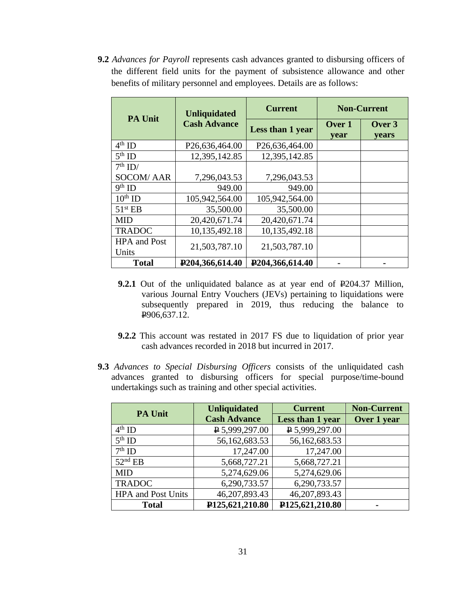**9.2** *Advances for Payroll* represents cash advances granted to disbursing officers of the different field units for the payment of subsistence allowance and other benefits of military personnel and employees. Details are as follows:

| <b>PA Unit</b>               | <b>Unliquidated</b>             | <b>Current</b>   | <b>Non-Current</b> |                        |
|------------------------------|---------------------------------|------------------|--------------------|------------------------|
|                              | <b>Cash Advance</b>             | Less than 1 year | Over 1<br>year     | Over 3<br><b>vears</b> |
| $4th$ ID                     | P26,636,464.00                  | P26,636,464.00   |                    |                        |
| $5th$ ID                     | 12,395,142.85                   | 12,395,142.85    |                    |                        |
| $7th$ ID/                    |                                 |                  |                    |                        |
| <b>SOCOM/AAR</b>             | 7,296,043.53                    | 7,296,043.53     |                    |                        |
| $9th$ ID                     | 949.00                          | 949.00           |                    |                        |
| $10th$ ID                    | 105,942,564.00                  | 105,942,564.00   |                    |                        |
| 51 <sup>st</sup> EB          | 35,500.00                       | 35,500.00        |                    |                        |
| <b>MID</b>                   | 20,420,671.74                   | 20,420,671.74    |                    |                        |
| <b>TRADOC</b>                | 10,135,492.18                   | 10,135,492.18    |                    |                        |
| <b>HPA</b> and Post<br>Units | 21,503,787.10                   | 21,503,787.10    |                    |                        |
| <b>Total</b>                 | P <sub>204</sub> , 366, 614. 40 | P204,366,614.40  |                    |                        |

- **9.2.1** Out of the unliquidated balance as at year end of  $\text{P204.37}$  Million, various Journal Entry Vouchers (JEVs) pertaining to liquidations were subsequently prepared in 2019, thus reducing the balance to P906,637.12.
- **9.2.2** This account was restated in 2017 FS due to liquidation of prior year cash advances recorded in 2018 but incurred in 2017.
- **9.3** *Advances to Special Disbursing Officers* consists of the unliquidated cash advances granted to disbursing officers for special purpose/time-bound undertakings such as training and other special activities.

| <b>PA Unit</b>            | <b>Unliquidated</b>            | <b>Current</b>   | <b>Non-Current</b> |
|---------------------------|--------------------------------|------------------|--------------------|
|                           | <b>Cash Advance</b>            | Less than 1 year | Over 1 year        |
| $4th$ ID                  | $\sqrt{P}$ 5,999,297.00        | ₽ 5,999,297.00   |                    |
| $5th$ ID                  | 56,162,683.53                  | 56,162,683.53    |                    |
| $7th$ ID                  | 17,247.00                      | 17,247.00        |                    |
| $52nd$ EB                 | 5,668,727.21                   | 5,668,727.21     |                    |
| <b>MID</b>                | 5,274,629.06                   | 5,274,629.06     |                    |
| <b>TRADOC</b>             | 6,290,733.57                   | 6,290,733.57     |                    |
| <b>HPA</b> and Post Units | 46,207,893.43                  | 46,207,893.43    |                    |
| <b>Total</b>              | P <sub>125</sub> , 621, 210.80 | P125,621,210.80  |                    |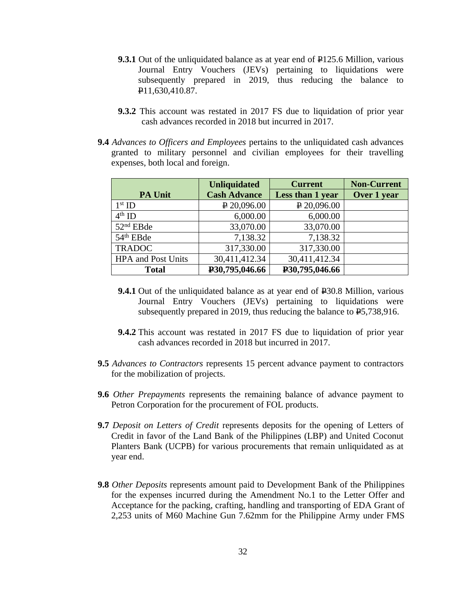- **9.3.1** Out of the unliquidated balance as at year end of  $\text{\textsterling}125.6$  Million, various Journal Entry Vouchers (JEVs) pertaining to liquidations were subsequently prepared in 2019, thus reducing the balance to P11,630,410.87.
- **9.3.2** This account was restated in 2017 FS due to liquidation of prior year cash advances recorded in 2018 but incurred in 2017.
- **9.4** *Advances to Officers and Employees* pertains to the unliquidated cash advances granted to military personnel and civilian employees for their travelling expenses, both local and foreign.

|                           | <b>Unliquidated</b> | <b>Current</b>   | <b>Non-Current</b> |
|---------------------------|---------------------|------------------|--------------------|
| <b>PA Unit</b>            | <b>Cash Advance</b> | Less than 1 year | Over 1 year        |
| $1st$ ID                  | $P$ 20,096.00       | P 20,096.00      |                    |
| $4th$ ID                  | 6,000.00            | 6,000.00         |                    |
| 52 <sup>nd</sup> EBde     | 33,070.00           | 33,070.00        |                    |
| 54 <sup>th</sup> EBde     | 7,138.32            | 7,138.32         |                    |
| <b>TRADOC</b>             | 317,330.00          | 317,330.00       |                    |
| <b>HPA</b> and Post Units | 30,411,412.34       | 30,411,412.34    |                    |
| <b>Total</b>              | P30,795,046.66      | P30,795,046.66   |                    |

- **9.4.1** Out of the unliquidated balance as at year end of  $\text{\textbf{P}}30.8$  Million, various Journal Entry Vouchers (JEVs) pertaining to liquidations were subsequently prepared in 2019, thus reducing the balance to  $E$ 5,738,916.
- **9.4.2** This account was restated in 2017 FS due to liquidation of prior year cash advances recorded in 2018 but incurred in 2017.
- **9.5** *Advances to Contractors* represents 15 percent advance payment to contractors for the mobilization of projects.
- **9.6** *Other Prepayments* represents the remaining balance of advance payment to Petron Corporation for the procurement of FOL products.
- **9.7** *Deposit on Letters of Credit* represents deposits for the opening of Letters of Credit in favor of the Land Bank of the Philippines (LBP) and United Coconut Planters Bank (UCPB) for various procurements that remain unliquidated as at year end.
- **9.8** *Other Deposits* represents amount paid to Development Bank of the Philippines for the expenses incurred during the Amendment No.1 to the Letter Offer and Acceptance for the packing, crafting, handling and transporting of EDA Grant of 2,253 units of M60 Machine Gun 7.62mm for the Philippine Army under FMS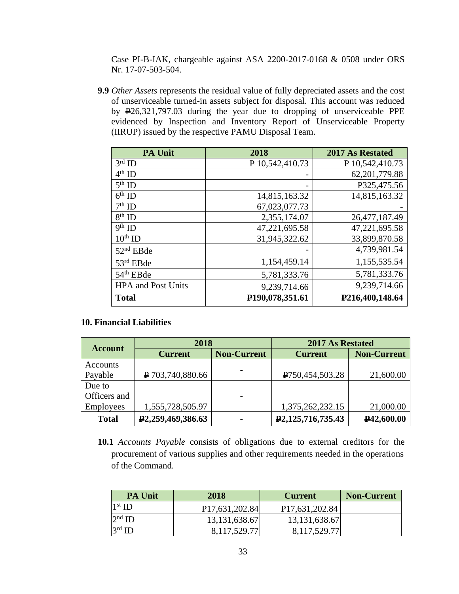Case PI-B-IAK, chargeable against ASA 2200-2017-0168 & 0508 under ORS Nr. 17-07-503-504.

**9.9** *Other Assets* represents the residual value of fully depreciated assets and the cost of unserviceable turned-in assets subject for disposal. This account was reduced by P26,321,797.03 during the year due to dropping of unserviceable PPE evidenced by Inspection and Inventory Report of Unserviceable Property (IIRUP) issued by the respective PAMU Disposal Team.

| <b>PA Unit</b>            | 2018                         | 2017 As Restated         |
|---------------------------|------------------------------|--------------------------|
| $3rd$ ID                  | P 10,542,410.73              | $\sqrt{P}$ 10,542,410.73 |
| $4th$ ID                  |                              | 62, 201, 779.88          |
| $5th$ ID                  |                              | P325,475.56              |
| $6th$ ID                  | 14,815,163.32                | 14,815,163.32            |
| $7th$ ID                  | 67,023,077.73                |                          |
| $8th$ ID                  | 2,355,174.07                 | 26,477,187.49            |
| $9th$ ID                  | 47,221,695.58                | 47,221,695.58            |
| $10th$ ID                 | 31,945,322.62                | 33,899,870.58            |
| 52 <sup>nd</sup> EBde     |                              | 4,739,981.54             |
| 53rd EBde                 | 1,154,459.14                 | 1,155,535.54             |
| 54 <sup>th</sup> EBde     | 5,781,333.76                 | 5,781,333.76             |
| <b>HPA</b> and Post Units | 9,239,714.66                 | 9,239,714.66             |
| <b>Total</b>              | P <sub>190</sub> ,078,351.61 | P216,400,148.64          |

#### **10. Financial Liabilities**

| <b>Account</b>  | 2018                           |                    | 2017 As Restated                   |                         |
|-----------------|--------------------------------|--------------------|------------------------------------|-------------------------|
|                 | <b>Current</b>                 | <b>Non-Current</b> | <b>Current</b>                     | <b>Non-Current</b>      |
| <b>Accounts</b> |                                |                    |                                    |                         |
| Payable         | P 703,740,880.66               |                    | P <sub>750</sub> , 454, 503. 28    | 21,600.00               |
| Due to          |                                |                    |                                    |                         |
| Officers and    |                                |                    |                                    |                         |
| Employees       | 1,555,728,505.97               |                    | 1,375,262,232.15                   | 21,000.00               |
| <b>Total</b>    | P <sub>2</sub> ,259,469,386.63 |                    | P <sub>2</sub> , 125, 716, 735. 43 | P <sub>42</sub> ,600.00 |

**10.1** *Accounts Payable* consists of obligations due to external creditors for the procurement of various supplies and other requirements needed in the operations of the Command.

| <b>PA Unit</b> | 2018                        | <b>Current</b>              | <b>Non-Current</b> |
|----------------|-----------------------------|-----------------------------|--------------------|
| $1st$ ID       | P <sub>17</sub> ,631,202.84 | P <sub>17</sub> ,631,202.84 |                    |
| $2nd$ ID       | 13, 131, 638. 67            | 13, 131, 638. 67            |                    |
| $3rd$ ID       | 8,117,529.77                | 8,117,529.77                |                    |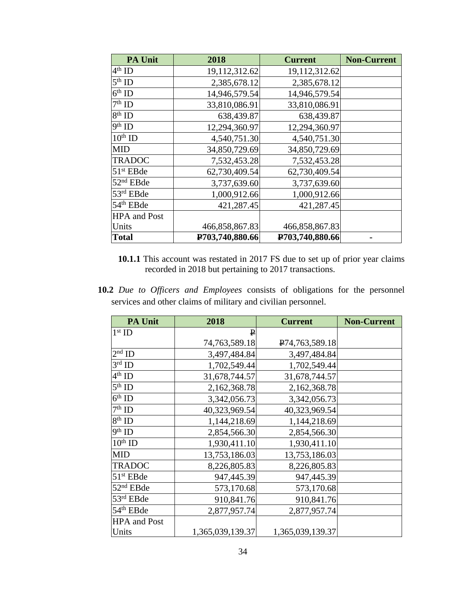| <b>PA Unit</b>        | 2018            | <b>Current</b>  | <b>Non-Current</b> |
|-----------------------|-----------------|-----------------|--------------------|
| $4th$ ID              | 19,112,312.62   | 19,112,312.62   |                    |
| $5th$ ID              | 2,385,678.12    | 2,385,678.12    |                    |
| $6th$ ID              | 14,946,579.54   | 14,946,579.54   |                    |
| $7th$ ID              | 33,810,086.91   | 33,810,086.91   |                    |
| $8th$ ID              | 638,439.87      | 638,439.87      |                    |
| 9 <sup>th</sup> ID    | 12,294,360.97   | 12,294,360.97   |                    |
| $10th$ ID             | 4,540,751.30    | 4,540,751.30    |                    |
| <b>MID</b>            | 34,850,729.69   | 34,850,729.69   |                    |
| <b>TRADOC</b>         | 7,532,453.28    | 7,532,453.28    |                    |
| $51st$ EBde           | 62,730,409.54   | 62,730,409.54   |                    |
| 52 <sup>nd</sup> EBde | 3,737,639.60    | 3,737,639.60    |                    |
| 53rd EBde             | 1,000,912.66    | 1,000,912.66    |                    |
| 54 <sup>th</sup> EBde | 421,287.45      | 421,287.45      |                    |
| <b>HPA</b> and Post   |                 |                 |                    |
| Units                 | 466,858,867.83  | 466,858,867.83  |                    |
| <b>Total</b>          | P703,740,880.66 | P703,740,880.66 |                    |

- **10.1.1** This account was restated in 2017 FS due to set up of prior year claims recorded in 2018 but pertaining to 2017 transactions.
- **10.2** *Due to Officers and Employees* consists of obligations for the personnel services and other claims of military and civilian personnel.

| <b>PA Unit</b>        | 2018             | <b>Current</b>             | <b>Non-Current</b> |
|-----------------------|------------------|----------------------------|--------------------|
| $1st$ ID              | $\mathbf{P}$     |                            |                    |
|                       | 74,763,589.18    | P <sub>74,763,589.18</sub> |                    |
| $2nd$ ID              | 3,497,484.84     | 3,497,484.84               |                    |
| $3rd$ ID              | 1,702,549.44     | 1,702,549.44               |                    |
| $4th$ ID              | 31,678,744.57    | 31,678,744.57              |                    |
| $5th$ ID              | 2,162,368.78     | 2,162,368.78               |                    |
| $6th$ ID              | 3,342,056.73     | 3,342,056.73               |                    |
| $7th$ ID              | 40,323,969.54    | 40,323,969.54              |                    |
| $8th$ ID              | 1,144,218.69     | 1,144,218.69               |                    |
| $9th$ ID              | 2,854,566.30     | 2,854,566.30               |                    |
| $10th$ ID             | 1,930,411.10     | 1,930,411.10               |                    |
| <b>MID</b>            | 13,753,186.03    | 13,753,186.03              |                    |
| <b>TRADOC</b>         | 8,226,805.83     | 8,226,805.83               |                    |
| 51 <sup>st</sup> EBde | 947,445.39       | 947,445.39                 |                    |
| 52 <sup>nd</sup> EBde | 573,170.68       | 573,170.68                 |                    |
| 53rd EBde             | 910,841.76       | 910,841.76                 |                    |
| 54 <sup>th</sup> EBde | 2,877,957.74     | 2,877,957.74               |                    |
| <b>HPA</b> and Post   |                  |                            |                    |
| Units                 | 1,365,039,139.37 | 1,365,039,139.37           |                    |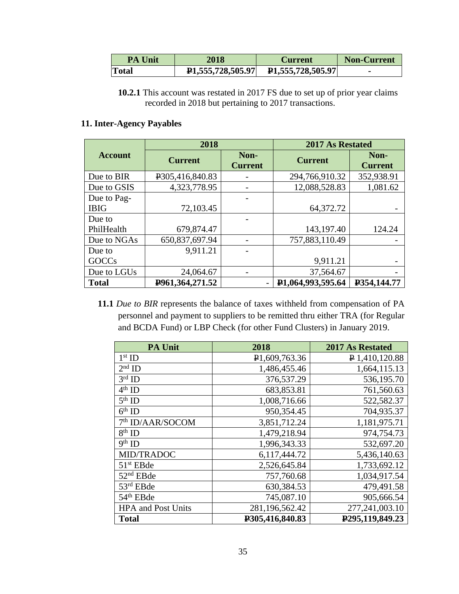| <b>PA Unit</b> | 2018 | Current                  | <b>Non-Current</b> |
|----------------|------|--------------------------|--------------------|
| <b>Total</b>   |      | <b>P1,555,728,505.97</b> |                    |

**<sup>10.2.1</sup>** This account was restated in 2017 FS due to set up of prior year claims recorded in 2018 but pertaining to 2017 transactions.

### **11. Inter-Agency Payables**

|                | 2018            |                        | <b>2017 As Restated</b>        |                        |
|----------------|-----------------|------------------------|--------------------------------|------------------------|
| <b>Account</b> | <b>Current</b>  | Non-<br><b>Current</b> | <b>Current</b>                 | Non-<br><b>Current</b> |
| Due to BIR     | P305,416,840.83 |                        | 294,766,910.32                 | 352,938.91             |
| Due to GSIS    | 4,323,778.95    |                        | 12,088,528.83                  | 1,081.62               |
| Due to Pag-    |                 |                        |                                |                        |
| <b>IBIG</b>    | 72,103.45       |                        | 64,372.72                      |                        |
| Due to         |                 |                        |                                |                        |
| PhilHealth     | 679,874.47      |                        | 143,197.40                     | 124.24                 |
| Due to NGAs    | 650,837,697.94  |                        | 757,883,110.49                 |                        |
| Due to         | 9,911.21        |                        |                                |                        |
| GOCCs          |                 |                        | 9,911.21                       |                        |
| Due to LGUs    | 24,064.67       |                        | 37,564.67                      |                        |
| <b>Total</b>   | P961,364,271.52 | $\overline{a}$         | P <sub>1</sub> ,064,993,595.64 | P354,144.77            |

**11.1** *Due to BIR* represents the balance of taxes withheld from compensation of PA personnel and payment to suppliers to be remitted thru either TRA (for Regular and BCDA Fund) or LBP Check (for other Fund Clusters) in January 2019.

| <b>PA Unit</b>               | 2018                       | 2017 As Restated             |
|------------------------------|----------------------------|------------------------------|
| $1st$ ID                     | P <sub>1</sub> ,609,763.36 | $\sqrt{2}$ 1,410,120.88      |
| $2nd$ ID                     | 1,486,455.46               | 1,664,115.13                 |
| $3rd$ ID                     | 376,537.29                 | 536,195.70                   |
| $4th$ ID                     | 683,853.81                 | 761,560.63                   |
| $5th$ ID                     | 1,008,716.66               | 522,582.37                   |
| $6th$ ID                     | 950,354.45                 | 704,935.37                   |
| 7 <sup>th</sup> ID/AAR/SOCOM | 3,851,712.24               | 1,181,975.71                 |
| $8th$ ID                     | 1,479,218.94               | 974,754.73                   |
| 9th ID                       | 1,996,343.33               | 532,697.20                   |
| MID/TRADOC                   | 6,117,444.72               | 5,436,140.63                 |
| $51st$ EBde                  | 2,526,645.84               | 1,733,692.12                 |
| 52 <sup>nd</sup> EBde        | 757,760.68                 | 1,034,917.54                 |
| 53rd EBde                    | 630, 384. 53               | 479,491.58                   |
| 54 <sup>th</sup> EBde        | 745,087.10                 | 905,666.54                   |
| <b>HPA</b> and Post Units    | 281,196,562.42             | 277,241,003.10               |
| <b>Total</b>                 | P305,416,840.83            | P <sub>295</sub> ,119,849.23 |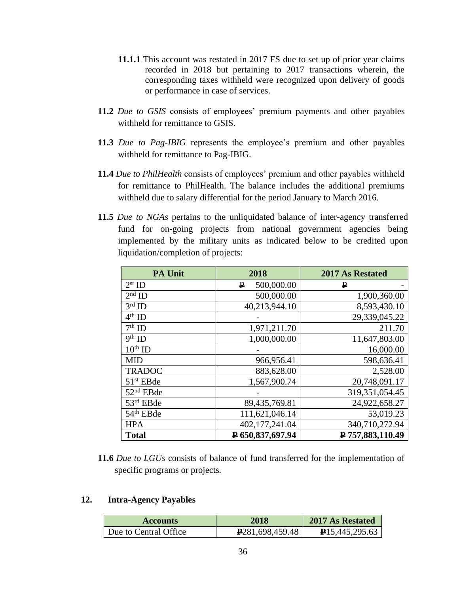- **11.1.1** This account was restated in 2017 FS due to set up of prior year claims recorded in 2018 but pertaining to 2017 transactions wherein, the corresponding taxes withheld were recognized upon delivery of goods or performance in case of services.
- **11.2** *Due to GSIS* consists of employees' premium payments and other payables withheld for remittance to GSIS.
- **11.3** *Due to Pag-IBIG* represents the employee's premium and other payables withheld for remittance to Pag-IBIG.
- **11.4** *Due to PhilHealth* consists of employees' premium and other payables withheld for remittance to PhilHealth. The balance includes the additional premiums withheld due to salary differential for the period January to March 2016.
- **11.5** *Due to NGAs* pertains to the unliquidated balance of inter-agency transferred fund for on-going projects from national government agencies being implemented by the military units as indicated below to be credited upon liquidation/completion of projects:

| <b>PA Unit</b>        | 2018             | 2017 As Restated |
|-----------------------|------------------|------------------|
| $2st$ ID              | 500,000.00<br>₽  | ₽                |
| $2nd$ ID              | 500,000.00       | 1,900,360.00     |
| $3rd$ ID              | 40,213,944.10    | 8,593,430.10     |
| $4th$ ID              |                  | 29,339,045.22    |
| $7th$ ID              | 1,971,211.70     | 211.70           |
| $9th$ ID              | 1,000,000.00     | 11,647,803.00    |
| $10th$ ID             |                  | 16,000.00        |
| <b>MID</b>            | 966,956.41       | 598,636.41       |
| <b>TRADOC</b>         | 883,628.00       | 2,528.00         |
| $51st$ EBde           | 1,567,900.74     | 20,748,091.17    |
| 52 <sup>nd</sup> EBde |                  | 319,351,054.45   |
| 53rd EBde             | 89,435,769.81    | 24,922,658.27    |
| 54th EBde             | 111,621,046.14   | 53,019.23        |
| <b>HPA</b>            | 402,177,241.04   | 340,710,272.94   |
| <b>Total</b>          | P 650,837,697.94 | P 757,883,110.49 |

**11.6** *Due to LGUs* consists of balance of fund transferred for the implementation of specific programs or projects*.* 

#### **12. Intra-Agency Payables**

| <b>Accounts</b>       | 2018                         | 2017 As Restated          |
|-----------------------|------------------------------|---------------------------|
| Due to Central Office | P <sub>281</sub> ,698,459.48 | $\mathbf{P}15,445,295.63$ |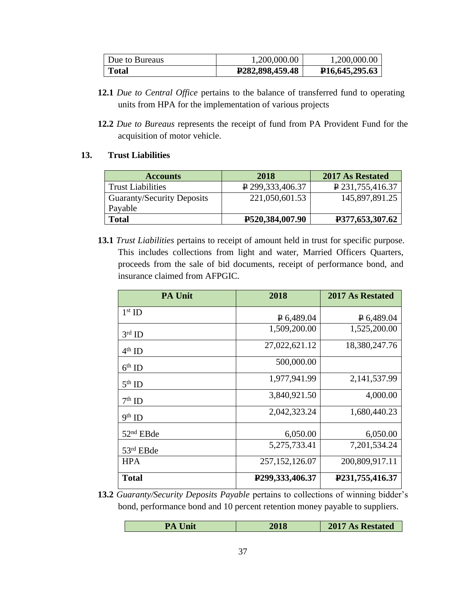| Due to Bureaus | 1,200,000.00                 | 1,200,000.00                   |
|----------------|------------------------------|--------------------------------|
| Total          | P <sub>282</sub> ,898,459.48 | P <sub>16</sub> , 645, 295. 63 |

- **12.1** *Due to Central Office* pertains to the balance of transferred fund to operating units from HPA for the implementation of various projects
- **12.2** *Due to Bureaus* represents the receipt of fund from PA Provident Fund for the acquisition of motor vehicle.

#### **13. Trust Liabilities**

| <b>Accounts</b>                   | 2018                            | 2017 As Restated |
|-----------------------------------|---------------------------------|------------------|
| <b>Trust Liabilities</b>          | $P$ 299, 333, 406. 37           | P 231,755,416.37 |
| <b>Guaranty/Security Deposits</b> | 221,050,601.53                  | 145,897,891.25   |
| Payable                           |                                 |                  |
| <b>Total</b>                      | P <sub>520</sub> , 384, 007. 90 | P377,653,307.62  |

**13.1** *Trust Liabilities* pertains to receipt of amount held in trust for specific purpose. This includes collections from light and water, Married Officers Quarters, proceeds from the sale of bid documents, receipt of performance bond, and insurance claimed from AFPGIC.

| <b>PA Unit</b> | 2018                            | <b>2017 As Restated</b>        |
|----------------|---------------------------------|--------------------------------|
| $1st$ ID       | $P$ 6,489.04                    | $P$ 6,489.04                   |
| $3rd$ ID       | 1,509,200.00                    | 1,525,200.00                   |
| $4th$ ID       | 27,022,621.12                   | 18,380,247.76                  |
| $6th$ ID       | 500,000.00                      |                                |
| $5th$ ID       | 1,977,941.99                    | 2,141,537.99                   |
| $7th$ ID       | 3,840,921.50                    | 4,000.00                       |
| $9th$ ID       | 2,042,323.24                    | 1,680,440.23                   |
| $52nd$ EBde    | 6,050.00                        | 6,050.00                       |
| 53rd EBde      | 5,275,733.41                    | 7,201,534.24                   |
| <b>HPA</b>     | 257, 152, 126.07                | 200,809,917.11                 |
| <b>Total</b>   | P <sub>299</sub> , 333, 406. 37 | P <sub>231</sub> , 755, 416.37 |

**13.2** *Guaranty/Security Deposits Payable* pertains to collections of winning bidder's bond, performance bond and 10 percent retention money payable to suppliers.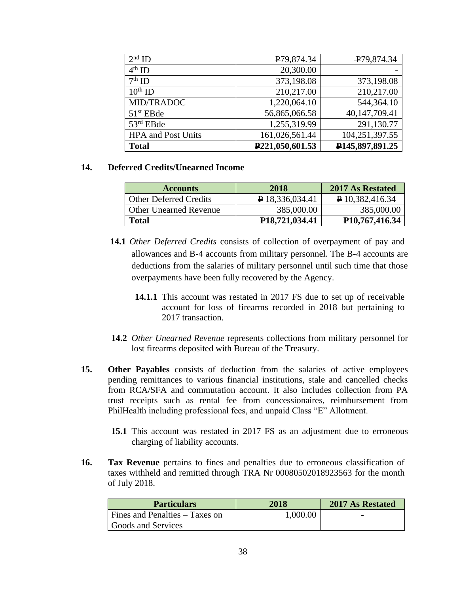| $2nd$ ID                  | P79,874.34                   | $\textcolor{blue}{\textbf{+}}$ 279,874.34 |
|---------------------------|------------------------------|-------------------------------------------|
| $4th$ ID                  | 20,300.00                    |                                           |
| $7th$ ID                  | 373,198.08                   | 373,198.08                                |
| $10^{th}$ ID              | 210,217.00                   | 210,217.00                                |
| MID/TRADOC                | 1,220,064.10                 | 544,364.10                                |
| 51 <sup>st</sup> EBde     | 56,865,066.58                | 40,147,709.41                             |
| 53rd EBde                 | 1,255,319.99                 | 291,130.77                                |
| <b>HPA</b> and Post Units | 161,026,561.44               | 104,251,397.55                            |
| <b>Total</b>              | P <sub>221</sub> ,050,601.53 | P <sub>145</sub> ,897,891.25              |

#### **14. Deferred Credits/Unearned Income**

| <b>Accounts</b>               | 2018                          | 2017 As Restated              |
|-------------------------------|-------------------------------|-------------------------------|
| <b>Other Deferred Credits</b> | P 18,336,034.41               | P 10,382,416.34               |
| <b>Other Unearned Revenue</b> | 385,000.00                    | 385,000.00                    |
| <b>Total</b>                  | P <sub>18</sub> , 721, 034.41 | P <sub>10</sub> , 767, 416.34 |

- **14.1** *Other Deferred Credits* consists of collection of overpayment of pay and allowances and B-4 accounts from military personnel. The B-4 accounts are deductions from the salaries of military personnel until such time that those overpayments have been fully recovered by the Agency.
	- **14.1.1** This account was restated in 2017 FS due to set up of receivable account for loss of firearms recorded in 2018 but pertaining to 2017 transaction.
- **14.2** *Other Unearned Revenue* represents collections from military personnel for lost firearms deposited with Bureau of the Treasury.
- **15. Other Payables** consists of deduction from the salaries of active employees pending remittances to various financial institutions, stale and cancelled checks from RCA/SFA and commutation account. It also includes collection from PA trust receipts such as rental fee from concessionaires, reimbursement from PhilHealth including professional fees, and unpaid Class "E" Allotment.
	- **15.1** This account was restated in 2017 FS as an adjustment due to erroneous charging of liability accounts.
- **16. Tax Revenue** pertains to fines and penalties due to erroneous classification of taxes withheld and remitted through TRA Nr 00080502018923563 for the month of July 2018.

| <b>Particulars</b>             | 2018     | <b>2017 As Restated</b>  |
|--------------------------------|----------|--------------------------|
| Fines and Penalties – Taxes on | 1,000.00 | $\overline{\phantom{a}}$ |
| Goods and Services             |          |                          |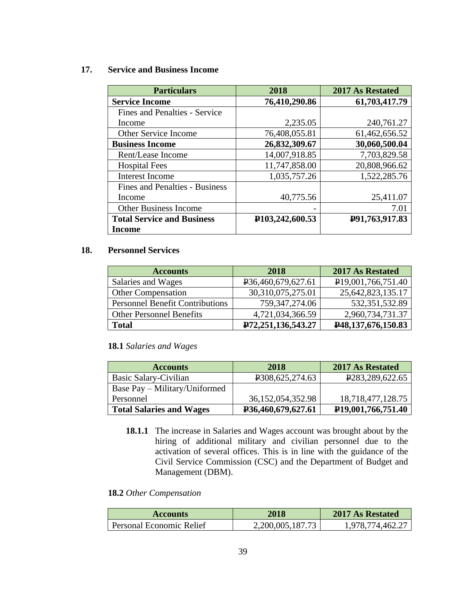#### **17. Service and Business Income**

| <b>Particulars</b>                | 2018                            | 2017 As Restated |
|-----------------------------------|---------------------------------|------------------|
| <b>Service Income</b>             | 76,410,290.86                   | 61,703,417.79    |
| Fines and Penalties - Service     |                                 |                  |
| Income                            | 2,235.05                        | 240,761.27       |
| Other Service Income              | 76,408,055.81                   | 61,462,656.52    |
| <b>Business Income</b>            | 26,832,309.67                   | 30,060,500.04    |
| Rent/Lease Income                 | 14,007,918.85                   | 7,703,829.58     |
| <b>Hospital Fees</b>              | 11,747,858.00                   | 20,808,966.62    |
| <b>Interest Income</b>            | 1,035,757.26                    | 1,522,285.76     |
| Fines and Penalties - Business    |                                 |                  |
| Income                            | 40,775.56                       | 25,411.07        |
| <b>Other Business Income</b>      |                                 | 7.01             |
| <b>Total Service and Business</b> | P <sub>103</sub> , 242, 600. 53 | P91,763,917.83   |
| Income                            |                                 |                  |

#### **18. Personnel Services**

| <b>Accounts</b>                        | 2018                            | 2017 As Restated                |
|----------------------------------------|---------------------------------|---------------------------------|
| Salaries and Wages                     | P <sub>36</sub> ,460,679,627.61 | P <sub>19</sub> ,001,766,751.40 |
| <b>Other Compensation</b>              | 30,310,075,275.01               | 25,642,823,135.17               |
| <b>Personnel Benefit Contributions</b> | 759, 347, 274.06                | 532, 351, 532.89                |
| <b>Other Personnel Benefits</b>        | 4,721,034,366.59                | 2,960,734,731.37                |
| <b>Total</b>                           | P72,251,136,543.27              | P48,137,676,150.83              |

#### **18.1** *Salaries and Wages*

| <b>Accounts</b>                 | 2018                         | <b>2017 As Restated</b>         |
|---------------------------------|------------------------------|---------------------------------|
| Basic Salary-Civilian           | P <sub>3</sub> 08,625,274.63 | P <sub>283</sub> , 289, 622. 65 |
| Base Pay – Military/Uniformed   |                              |                                 |
| Personnel                       | 36, 152, 054, 352. 98        | 18,718,477,128.75               |
| <b>Total Salaries and Wages</b> | P36,460,679,627.61           | P <sub>19</sub> ,001,766,751.40 |

**18.1.1** The increase in Salaries and Wages account was brought about by the hiring of additional military and civilian personnel due to the activation of several offices. This is in line with the guidance of the Civil Service Commission (CSC) and the Department of Budget and Management (DBM).

### **18.2** *Other Compensation*

| <b>Accounts</b>          | 2018             | 2017 As Restated |
|--------------------------|------------------|------------------|
| Personal Economic Relief | 2,200,005,187.73 | 1,978,774,462.27 |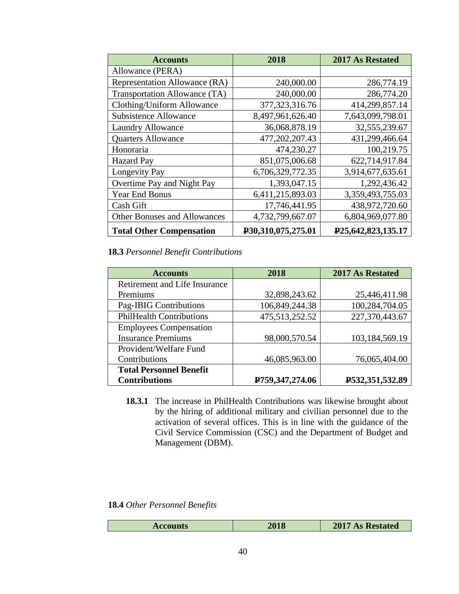| <b>Accounts</b>                     | 2018               | <b>2017 As Restated</b>         |
|-------------------------------------|--------------------|---------------------------------|
| Allowance (PERA)                    |                    |                                 |
| Representation Allowance (RA)       | 240,000.00         | 286,774.19                      |
| Transportation Allowance (TA)       | 240,000.00         | 286,774.20                      |
| Clothing/Uniform Allowance          | 377, 323, 316. 76  | 414,299,857.14                  |
| <b>Subsistence Allowance</b>        | 8,497,961,626.40   | 7,643,099,798.01                |
| <b>Laundry Allowance</b>            | 36,068,878.19      | 32,555,239.67                   |
| <b>Quarters Allowance</b>           | 477,202,207.43     | 431,299,466.64                  |
| Honoraria                           | 474,230.27         | 100,219.75                      |
| <b>Hazard Pay</b>                   | 851,075,006.68     | 622,714,917.84                  |
| <b>Longevity Pay</b>                | 6,706,329,772.35   | 3,914,677,635.61                |
| Overtime Pay and Night Pay          | 1,393,047.15       | 1,292,436.42                    |
| Year End Bonus                      | 6,411,215,893.03   | 3,359,493,755.03                |
| Cash Gift                           | 17,746,441.95      | 438,972,720.60                  |
| <b>Other Bonuses and Allowances</b> | 4,732,799,667.07   | 6,804,969,077.80                |
| <b>Total Other Compensation</b>     | P30,310,075,275.01 | P <sub>25</sub> ,642,823,135.17 |

**18.3** *Personnel Benefit Contributions*

| <b>Accounts</b>                 | 2018            | <b>2017 As Restated</b> |
|---------------------------------|-----------------|-------------------------|
| Retirement and Life Insurance   |                 |                         |
| Premiums                        | 32,898,243.62   | 25,446,411.98           |
| Pag-IBIG Contributions          | 106,849,244.38  | 100,284,704.05          |
| <b>PhilHealth Contributions</b> | 475,513,252.52  | 227,370,443.67          |
| <b>Employees Compensation</b>   |                 |                         |
| <b>Insurance Premiums</b>       | 98,000,570.54   | 103,184,569.19          |
| Provident/Welfare Fund          |                 |                         |
| Contributions                   | 46,085,963.00   | 76,065,404.00           |
| <b>Total Personnel Benefit</b>  |                 |                         |
| <b>Contributions</b>            | P759,347,274.06 | P532,351,532.89         |

**18.3.1** The increase in PhilHealth Contributions was likewise brought about by the hiring of additional military and civilian personnel due to the activation of several offices. This is in line with the guidance of the Civil Service Commission (CSC) and the Department of Budget and Management (DBM).

**18.4** *Other Personnel Benefits*

| <b>Accounts</b> | 2018 | 2017<br><b>As Restated</b> |
|-----------------|------|----------------------------|
|-----------------|------|----------------------------|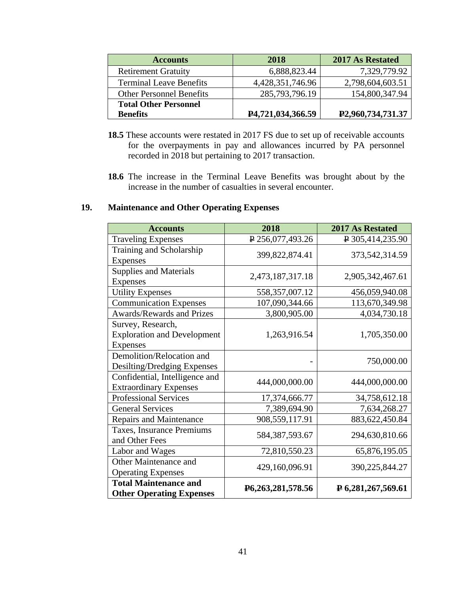| <b>Accounts</b>                 | 2018              | 2017 As Restated               |
|---------------------------------|-------------------|--------------------------------|
| <b>Retirement Gratuity</b>      | 6,888,823.44      | 7,329,779.92                   |
| <b>Terminal Leave Benefits</b>  | 4,428,351,746.96  | 2,798,604,603.51               |
| <b>Other Personnel Benefits</b> | 285,793,796.19    | 154,800,347.94                 |
| <b>Total Other Personnel</b>    |                   |                                |
| <b>Benefits</b>                 | P4,721,034,366.59 | P <sub>2</sub> ,960,734,731.37 |

- **18.5** These accounts were restated in 2017 FS due to set up of receivable accounts for the overpayments in pay and allowances incurred by PA personnel recorded in 2018 but pertaining to 2017 transaction.
- **18.6** The increase in the Terminal Leave Benefits was brought about by the increase in the number of casualties in several encounter.

### **19. Maintenance and Other Operating Expenses**

| <b>Accounts</b>                                                            | 2018              | 2017 As Restated                |
|----------------------------------------------------------------------------|-------------------|---------------------------------|
| <b>Traveling Expenses</b>                                                  | ₽ 256,077,493.26  | $\sqrt{2}$ 305,414,235.90       |
| Training and Scholarship<br>Expenses                                       | 399,822,874.41    | 373,542,314.59                  |
| <b>Supplies and Materials</b><br>Expenses                                  | 2,473,187,317.18  | 2,905,342,467.61                |
| <b>Utility Expenses</b>                                                    | 558,357,007.12    | 456,059,940.08                  |
| <b>Communication Expenses</b>                                              | 107,090,344.66    | 113,670,349.98                  |
| Awards/Rewards and Prizes                                                  | 3,800,905.00      | 4,034,730.18                    |
| Survey, Research,<br><b>Exploration and Development</b><br><b>Expenses</b> | 1,263,916.54      | 1,705,350.00                    |
| Demolition/Relocation and<br>Desilting/Dredging Expenses                   |                   | 750,000.00                      |
| Confidential, Intelligence and<br><b>Extraordinary Expenses</b>            | 444,000,000.00    | 444,000,000.00                  |
| <b>Professional Services</b>                                               | 17,374,666.77     | 34,758,612.18                   |
| <b>General Services</b>                                                    | 7,389,694.90      | 7,634,268.27                    |
| Repairs and Maintenance                                                    | 908,559,117.91    | 883, 622, 450. 84               |
| Taxes, Insurance Premiums<br>and Other Fees                                | 584, 387, 593. 67 | 294,630,810.66                  |
| Labor and Wages                                                            | 72,810,550.23     | 65,876,195.05                   |
| Other Maintenance and<br><b>Operating Expenses</b>                         | 429,160,096.91    | 390,225,844.27                  |
| <b>Total Maintenance and</b><br><b>Other Operating Expenses</b>            | P6,263,281,578.56 | $\overline{P}$ 6,281,267,569.61 |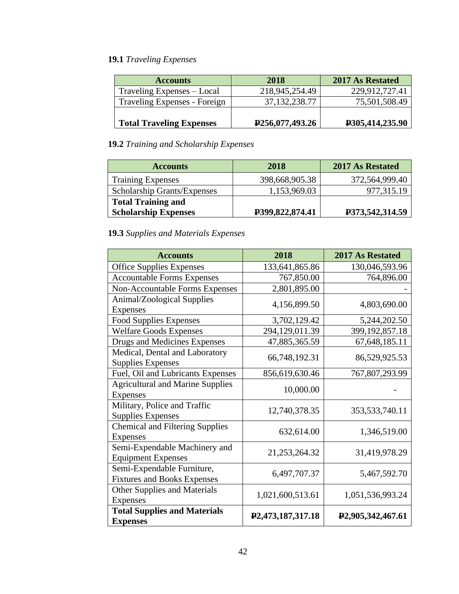# **19.1** *Traveling Expenses*

| <b>Accounts</b>                 | 2018                         | <b>2017 As Restated</b> |
|---------------------------------|------------------------------|-------------------------|
| Traveling Expenses – Local      | 218,945,254.49               | 229,912,727.41          |
| Traveling Expenses - Foreign    | 37, 132, 238. 77             | 75,501,508.49           |
| <b>Total Traveling Expenses</b> | P <sub>256</sub> ,077,493.26 | P305,414,235.90         |

### **19.2** *Training and Scholarship Expenses*

| <b>Accounts</b>                    | 2018            | <b>2017 As Restated</b> |
|------------------------------------|-----------------|-------------------------|
| <b>Training Expenses</b>           | 398,668,905.38  | 372,564,999.40          |
| <b>Scholarship Grants/Expenses</b> | 1,153,969.03    | 977,315.19              |
| <b>Total Training and</b>          |                 |                         |
| <b>Scholarship Expenses</b>        | P399,822,874.41 | P373,542,314.59         |

# **19.3** *Supplies and Materials Expenses*

| <b>Accounts</b>                                                  | 2018                           | 2017 As Restated               |
|------------------------------------------------------------------|--------------------------------|--------------------------------|
| <b>Office Supplies Expenses</b>                                  | 133,641,865.86                 | 130,046,593.96                 |
| <b>Accountable Forms Expenses</b>                                | 767,850.00                     | 764,896.00                     |
| <b>Non-Accountable Forms Expenses</b>                            | 2,801,895.00                   |                                |
| Animal/Zoological Supplies<br><b>Expenses</b>                    | 4,156,899.50                   | 4,803,690.00                   |
| <b>Food Supplies Expenses</b>                                    | 3,702,129.42                   | 5,244,202.50                   |
| <b>Welfare Goods Expenses</b>                                    | 294,129,011.39                 | 399, 192, 857. 18              |
| Drugs and Medicines Expenses                                     | 47,885,365.59                  | 67, 648, 185. 11               |
| Medical, Dental and Laboratory<br><b>Supplies Expenses</b>       | 66,748,192.31                  | 86,529,925.53                  |
| Fuel, Oil and Lubricants Expenses                                | 856,619,630.46                 | 767,807,293.99                 |
| <b>Agricultural and Marine Supplies</b><br>Expenses              | 10,000.00                      |                                |
| Military, Police and Traffic<br><b>Supplies Expenses</b>         | 12,740,378.35                  | 353, 533, 740. 11              |
| <b>Chemical and Filtering Supplies</b><br><b>Expenses</b>        | 632,614.00                     | 1,346,519.00                   |
| Semi-Expendable Machinery and<br><b>Equipment Expenses</b>       | 21,253,264.32                  | 31,419,978.29                  |
| Semi-Expendable Furniture,<br><b>Fixtures and Books Expenses</b> | 6,497,707.37                   | 5,467,592.70                   |
| <b>Other Supplies and Materials</b><br>Expenses                  | 1,021,600,513.61               | 1,051,536,993.24               |
| <b>Total Supplies and Materials</b><br><b>Expenses</b>           | P <sub>2</sub> ,473,187,317.18 | P <sub>2</sub> ,905,342,467.61 |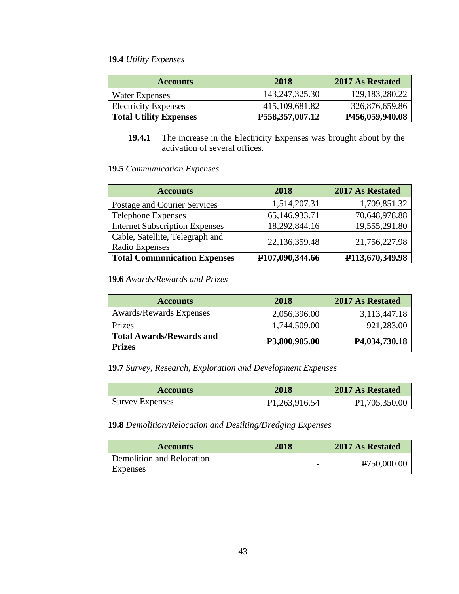### **19.4** *Utility Expenses*

| <b>Accounts</b>               | 2018                   | 2017 As Restated  |
|-------------------------------|------------------------|-------------------|
| Water Expenses                | 143, 247, 325. 30      | 129, 183, 280. 22 |
| <b>Electricity Expenses</b>   | 415,109,681.82         | 326,876,659.86    |
| <b>Total Utility Expenses</b> | <b>P558,357,007.12</b> | P456,059,940.08   |

**19.4.1** The increase in the Electricity Expenses was brought about by the activation of several offices.

#### **19.5** *Communication Expenses*

| <b>Accounts</b>                                   | 2018                         | 2017 As Restated             |
|---------------------------------------------------|------------------------------|------------------------------|
| Postage and Courier Services                      | 1,514,207.31                 | 1,709,851.32                 |
| <b>Telephone Expenses</b>                         | 65,146,933.71                | 70,648,978.88                |
| <b>Internet Subscription Expenses</b>             | 18,292,844.16                | 19,555,291.80                |
| Cable, Satellite, Telegraph and<br>Radio Expenses | 22,136,359.48                | 21,756,227.98                |
| <b>Total Communication Expenses</b>               | P <sub>107</sub> ,090,344.66 | P <sub>113</sub> ,670,349.98 |

### **19.6** *Awards/Rewards and Prizes*

| <b>Accounts</b>                                  | 2018          | <b>2017 As Restated</b>    |
|--------------------------------------------------|---------------|----------------------------|
| <b>Awards/Rewards Expenses</b>                   | 2,056,396.00  | 3,113,447.18               |
| Prizes                                           | 1,744,509.00  | 921,283.00                 |
| <b>Total Awards/Rewards and</b><br><b>Prizes</b> | P3,800,905.00 | P <sub>4</sub> ,034,730.18 |

### **19.7** *Survey, Research, Exploration and Development Expenses*

| <b>Accounts</b>        | 2018                       | 2017 As Restated |
|------------------------|----------------------------|------------------|
| <b>Survey Expenses</b> | P <sub>1</sub> ,263,916.54 | P1,705,350.00    |

#### **19.8** *Demolition/Relocation and Desilting/Dredging Expenses*

| <b>Accounts</b>           | 2018 | <b>2017 As Restated</b>  |
|---------------------------|------|--------------------------|
| Demolition and Relocation |      | P <sub>750</sub> ,000.00 |
| Expenses                  | ۰    |                          |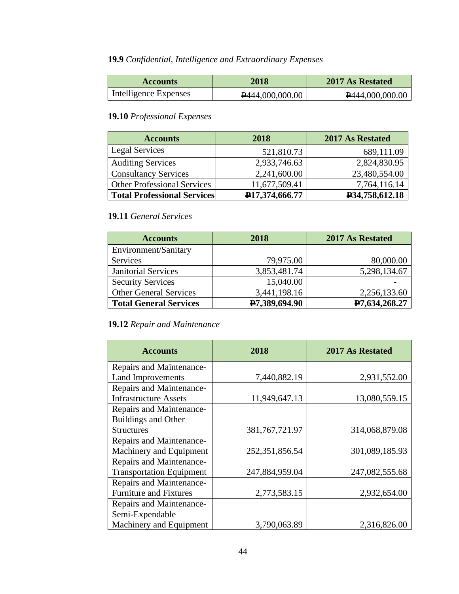# **19.9** *Confidential, Intelligence and Extraordinary Expenses*

| <b>Accounts</b>       | 2018            | 2017 As Restated |
|-----------------------|-----------------|------------------|
| Intelligence Expenses | P444,000,000.00 | P444,000,000.00  |

### **19.10** *Professional Expenses*

| <b>Accounts</b>                    | 2018           | <b>2017 As Restated</b> |
|------------------------------------|----------------|-------------------------|
| Legal Services                     | 521,810.73     | 689,111.09              |
| <b>Auditing Services</b>           | 2,933,746.63   | 2,824,830.95            |
| <b>Consultancy Services</b>        | 2,241,600.00   | 23,480,554.00           |
| <b>Other Professional Services</b> | 11,677,509.41  | 7,764,116.14            |
| <b>Total Professional Services</b> | P17,374,666.77 | P34,758,612.18          |

### **19.11** *General Services*

| <b>Accounts</b>               | 2018          | <b>2017 As Restated</b> |
|-------------------------------|---------------|-------------------------|
| Environment/Sanitary          |               |                         |
| <b>Services</b>               | 79,975.00     | 80,000.00               |
| <b>Janitorial Services</b>    | 3,853,481.74  | 5,298,134.67            |
| <b>Security Services</b>      | 15,040.00     |                         |
| <b>Other General Services</b> | 3,441,198.16  | 2,256,133.60            |
| <b>Total General Services</b> | P7,389,694.90 | P7,634,268.27           |

### **19.12** *Repair and Maintenance*

| <b>Accounts</b>                 | 2018              | <b>2017 As Restated</b> |
|---------------------------------|-------------------|-------------------------|
| Repairs and Maintenance-        |                   |                         |
| <b>Land Improvements</b>        | 7,440,882.19      | 2,931,552.00            |
| Repairs and Maintenance-        |                   |                         |
| <b>Infrastructure Assets</b>    | 11,949,647.13     | 13,080,559.15           |
| Repairs and Maintenance-        |                   |                         |
| <b>Buildings and Other</b>      |                   |                         |
| <b>Structures</b>               | 381, 767, 721. 97 | 314,068,879.08          |
| Repairs and Maintenance-        |                   |                         |
| Machinery and Equipment         | 252, 351, 856. 54 | 301,089,185.93          |
| Repairs and Maintenance-        |                   |                         |
| <b>Transportation Equipment</b> | 247,884,959.04    | 247,082,555.68          |
| Repairs and Maintenance-        |                   |                         |
| <b>Furniture and Fixtures</b>   | 2,773,583.15      | 2,932,654.00            |
| Repairs and Maintenance-        |                   |                         |
| Semi-Expendable                 |                   |                         |
| Machinery and Equipment         | 3,790,063.89      | 2,316,826.00            |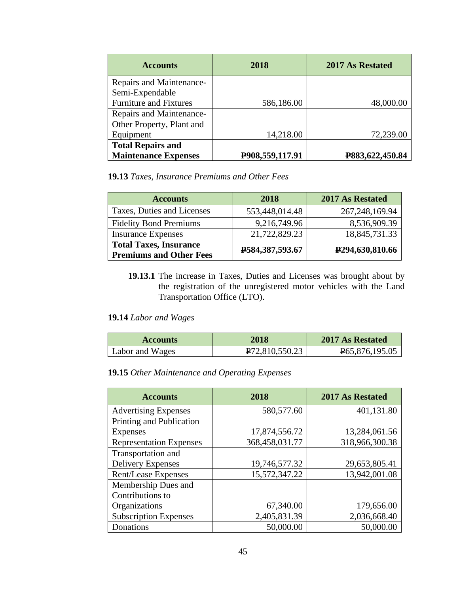| <b>Accounts</b>               | 2018            | 2017 As Restated |
|-------------------------------|-----------------|------------------|
| Repairs and Maintenance-      |                 |                  |
| Semi-Expendable               |                 |                  |
| <b>Furniture and Fixtures</b> | 586,186.00      | 48,000.00        |
| Repairs and Maintenance-      |                 |                  |
| Other Property, Plant and     |                 |                  |
| Equipment                     | 14,218.00       | 72,239.00        |
| <b>Total Repairs and</b>      |                 |                  |
| <b>Maintenance Expenses</b>   | P908,559,117.91 | P883,622,450.84  |

**19.13** *Taxes, Insurance Premiums and Other Fees*

| <b>Accounts</b>                                                 | 2018            | <b>2017 As Restated</b>      |
|-----------------------------------------------------------------|-----------------|------------------------------|
| Taxes, Duties and Licenses                                      | 553,448,014.48  | 267, 248, 169. 94            |
| <b>Fidelity Bond Premiums</b>                                   | 9,216,749.96    | 8,536,909.39                 |
| <b>Insurance Expenses</b>                                       | 21,722,829.23   | 18,845,731.33                |
| <b>Total Taxes, Insurance</b><br><b>Premiums and Other Fees</b> | P584,387,593.67 | P <sub>294</sub> ,630,810.66 |

**19.13.1** The increase in Taxes, Duties and Licenses was brought about by the registration of the unregistered motor vehicles with the Land Transportation Office (LTO).

#### **19.14** *Labor and Wages*

| <b>Accounts</b> | 2018                        | 2017 As Restated            |
|-----------------|-----------------------------|-----------------------------|
| Labor and Wages | P <sub>72</sub> ,810,550.23 | P <sub>65</sub> ,876,195.05 |

**19.15** *Other Maintenance and Operating Expenses*

| <b>Accounts</b>                | 2018           | <b>2017 As Restated</b> |
|--------------------------------|----------------|-------------------------|
| <b>Advertising Expenses</b>    | 580,577.60     | 401,131.80              |
| Printing and Publication       |                |                         |
| <b>Expenses</b>                | 17,874,556.72  | 13,284,061.56           |
| <b>Representation Expenses</b> | 368,458,031.77 | 318,966,300.38          |
| Transportation and             |                |                         |
| <b>Delivery Expenses</b>       | 19,746,577.32  | 29,653,805.41           |
| Rent/Lease Expenses            | 15,572,347.22  | 13,942,001.08           |
| Membership Dues and            |                |                         |
| Contributions to               |                |                         |
| Organizations                  | 67,340.00      | 179,656.00              |
| <b>Subscription Expenses</b>   | 2,405,831.39   | 2,036,668.40            |
| Donations                      | 50,000.00      | 50,000.00               |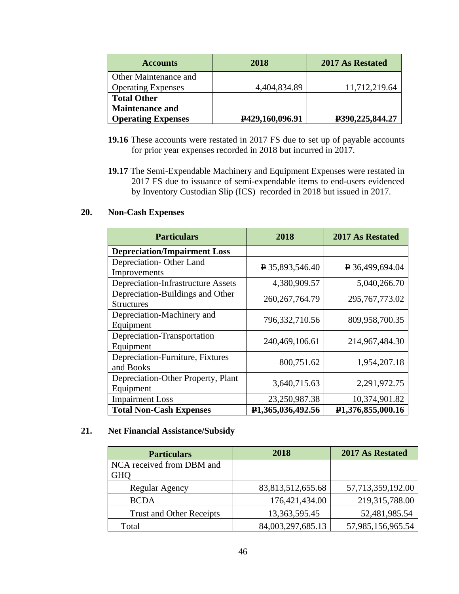| <b>Accounts</b>           | 2018            | 2017 As Restated |
|---------------------------|-----------------|------------------|
| Other Maintenance and     |                 |                  |
| <b>Operating Expenses</b> | 4,404,834.89    | 11,712,219.64    |
| <b>Total Other</b>        |                 |                  |
| <b>Maintenance and</b>    |                 |                  |
| <b>Operating Expenses</b> | P429,160,096.91 | P390,225,844.27  |

- **19.16** These accounts were restated in 2017 FS due to set up of payable accounts for prior year expenses recorded in 2018 but incurred in 2017.
- **19.17** The Semi-Expendable Machinery and Equipment Expenses were restated in 2017 FS due to issuance of semi-expendable items to end-users evidenced by Inventory Custodian Slip (ICS) recorded in 2018 but issued in 2017.

#### **20. Non-Cash Expenses**

| <b>Particulars</b>                                    | 2018                           | <b>2017 As Restated</b>        |
|-------------------------------------------------------|--------------------------------|--------------------------------|
| <b>Depreciation/Impairment Loss</b>                   |                                |                                |
| Depreciation-Other Land<br>Improvements               | $\sqrt{2}$ 35,893,546.40       | P 36,499,694.04                |
| <b>Depreciation-Infrastructure Assets</b>             | 4,380,909.57                   | 5,040,266.70                   |
| Depreciation-Buildings and Other<br><b>Structures</b> | 260, 267, 764. 79              | 295, 767, 773.02               |
| Depreciation-Machinery and<br>Equipment               | 796,332,710.56                 | 809,958,700.35                 |
| Depreciation-Transportation<br>Equipment              | 240,469,106.61                 | 214,967,484.30                 |
| Depreciation-Furniture, Fixtures<br>and Books         | 800,751.62                     | 1,954,207.18                   |
| Depreciation-Other Property, Plant<br>Equipment       | 3,640,715.63                   | 2,291,972.75                   |
| <b>Impairment Loss</b>                                | 23,250,987.38                  | 10,374,901.82                  |
| <b>Total Non-Cash Expenses</b>                        | P <sub>1</sub> ,365,036,492.56 | P <sub>1</sub> ,376,855,000.16 |

### **21. Net Financial Assistance/Subsidy**

| <b>Particulars</b>              | 2018              | 2017 As Restated  |
|---------------------------------|-------------------|-------------------|
| NCA received from DBM and       |                   |                   |
| <b>GHO</b>                      |                   |                   |
| Regular Agency                  | 83,813,512,655.68 | 57,713,359,192.00 |
| <b>BCDA</b>                     | 176,421,434.00    | 219,315,788.00    |
| <b>Trust and Other Receipts</b> | 13, 363, 595. 45  | 52,481,985.54     |
| Total                           | 84,003,297,685.13 | 57,985,156,965.54 |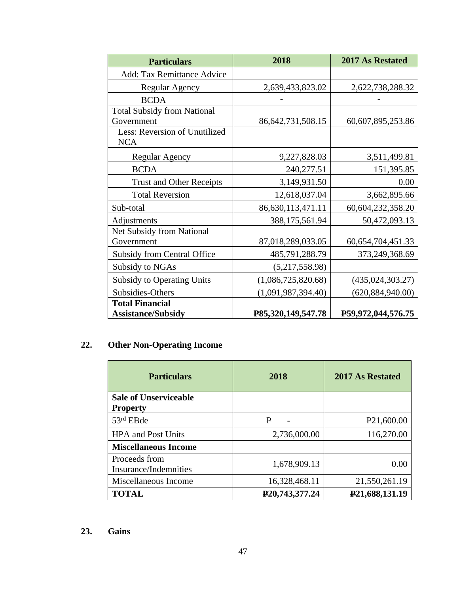| <b>Particulars</b>                          | 2018                  | 2017 As Restated      |
|---------------------------------------------|-----------------------|-----------------------|
| <b>Add: Tax Remittance Advice</b>           |                       |                       |
| <b>Regular Agency</b>                       | 2,639,433,823.02      | 2,622,738,288.32      |
| <b>BCDA</b>                                 |                       |                       |
| <b>Total Subsidy from National</b>          |                       |                       |
| Government                                  | 86, 642, 731, 508. 15 | 60,607,895,253.86     |
| Less: Reversion of Unutilized<br><b>NCA</b> |                       |                       |
|                                             |                       |                       |
| <b>Regular Agency</b>                       | 9,227,828.03          | 3,511,499.81          |
| <b>BCDA</b>                                 | 240,277.51            | 151,395.85            |
| <b>Trust and Other Receipts</b>             | 3,149,931.50          | 0.00                  |
| <b>Total Reversion</b>                      | 12,618,037.04         | 3,662,895.66          |
| Sub-total                                   | 86,630,113,471.11     | 60,604,232,358.20     |
| Adjustments                                 | 388,175,561.94        | 50,472,093.13         |
| Net Subsidy from National                   |                       |                       |
| Government                                  | 87,018,289,033.05     | 60, 654, 704, 451. 33 |
| Subsidy from Central Office                 | 485,791,288.79        | 373,249,368.69        |
| Subsidy to NGAs                             | (5,217,558.98)        |                       |
| <b>Subsidy to Operating Units</b>           | (1,086,725,820.68)    | (435, 024, 303.27)    |
| Subsidies-Others                            | (1,091,987,394.40)    | (620, 884, 940.00)    |
| <b>Total Financial</b>                      |                       |                       |
| <b>Assistance/Subsidy</b>                   | P85,320,149,547.78    | P59,972,044,576.75    |

# **22. Other Non-Operating Income**

| <b>Particulars</b>                     | 2018                          | 2017 As Restated        |
|----------------------------------------|-------------------------------|-------------------------|
| <b>Sale of Unserviceable</b>           |                               |                         |
| <b>Property</b>                        |                               |                         |
| $53rd$ EBde                            | ₽                             | P <sub>21</sub> ,600.00 |
| <b>HPA and Post Units</b>              | 2,736,000.00                  | 116,270.00              |
| <b>Miscellaneous Income</b>            |                               |                         |
| Proceeds from<br>Insurance/Indemnities | 1,678,909.13                  | 0.00                    |
| Miscellaneous Income                   | 16,328,468.11                 | 21,550,261.19           |
| <b>TOTAL</b>                           | P <sub>20</sub> , 743, 377.24 | P21,688,131.19          |

### **23. Gains**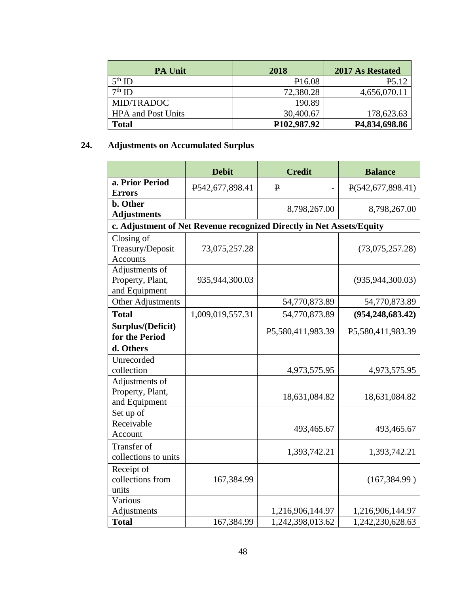| <b>PA Unit</b>            | 2018                     | <b>2017 As Restated</b>    |
|---------------------------|--------------------------|----------------------------|
| $5th$ ID                  | P16.08                   | P <sub>5.12</sub>          |
| $7th$ ID                  | 72,380.28                | 4,656,070.11               |
| MID/TRADOC                | 190.89                   |                            |
| <b>HPA</b> and Post Units | 30,400.67                | 178,623.63                 |
| <b>Total</b>              | P <sub>102</sub> ,987.92 | P <sub>4</sub> ,834,698.86 |

# **24. Adjustments on Accumulated Surplus**

|                                                     | <b>Debit</b>     | <b>Credit</b>                                                         | <b>Balance</b>               |
|-----------------------------------------------------|------------------|-----------------------------------------------------------------------|------------------------------|
| a. Prior Period<br><b>Errors</b>                    | P542,677,898.41  | $\mathbf{P}$                                                          | $\mathbb{P}(542,677,898.41)$ |
| b. Other<br><b>Adjustments</b>                      |                  | 8,798,267.00                                                          | 8,798,267.00                 |
|                                                     |                  | c. Adjustment of Net Revenue recognized Directly in Net Assets/Equity |                              |
| Closing of<br>Treasury/Deposit<br><b>Accounts</b>   | 73,075,257.28    |                                                                       | (73,075,257.28)              |
| Adjustments of<br>Property, Plant,<br>and Equipment | 935,944,300.03   |                                                                       | (935, 944, 300.03)           |
| <b>Other Adjustments</b>                            |                  | 54,770,873.89                                                         | 54,770,873.89                |
| <b>Total</b>                                        | 1,009,019,557.31 | 54,770,873.89                                                         | (954, 248, 683, 42)          |
| Surplus/(Deficit)<br>for the Period                 |                  | P5,580,411,983.39                                                     | P5,580,411,983.39            |
| d. Others                                           |                  |                                                                       |                              |
| Unrecorded<br>collection                            |                  | 4,973,575.95                                                          | 4,973,575.95                 |
| Adjustments of<br>Property, Plant,<br>and Equipment |                  | 18,631,084.82                                                         | 18,631,084.82                |
| Set up of<br>Receivable<br>Account                  |                  | 493,465.67                                                            | 493,465.67                   |
| Transfer of<br>collections to units                 |                  | 1,393,742.21                                                          | 1,393,742.21                 |
| Receipt of<br>collections from<br>units             | 167,384.99       |                                                                       | (167, 384.99)                |
| Various<br>Adjustments                              |                  | 1,216,906,144.97                                                      | 1,216,906,144.97             |
| <b>Total</b>                                        | 167,384.99       | 1,242,398,013.62                                                      | 1,242,230,628.63             |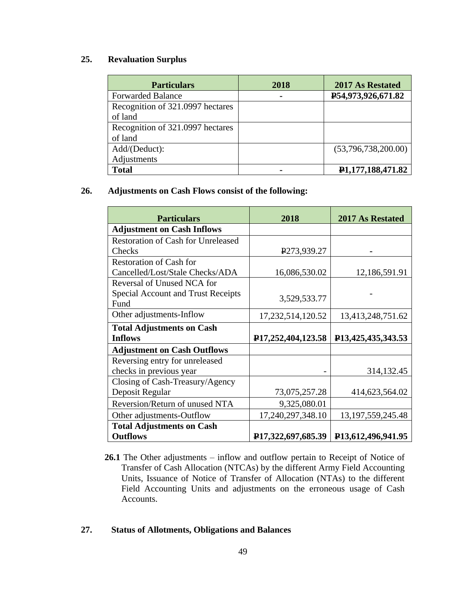### **25. Revaluation Surplus**

| <b>Particulars</b>               | 2018 | <b>2017 As Restated</b>        |
|----------------------------------|------|--------------------------------|
| <b>Forwarded Balance</b>         |      | P54,973,926,671.82             |
| Recognition of 321.0997 hectares |      |                                |
| of land                          |      |                                |
| Recognition of 321.0997 hectares |      |                                |
| of land                          |      |                                |
| Add/(Deduct):                    |      | (53,796,738,200.00)            |
| Adjustments                      |      |                                |
| <b>Total</b>                     |      | P <sub>1</sub> ,177,188,471.82 |

### **26. Adjustments on Cash Flows consist of the following:**

| <b>Particulars</b>                        | 2018                                | <b>2017 As Restated</b>             |
|-------------------------------------------|-------------------------------------|-------------------------------------|
| <b>Adjustment on Cash Inflows</b>         |                                     |                                     |
| <b>Restoration of Cash for Unreleased</b> |                                     |                                     |
| Checks                                    | P273,939.27                         |                                     |
| <b>Restoration of Cash for</b>            |                                     |                                     |
| Cancelled/Lost/Stale Checks/ADA           | 16,086,530.02                       | 12,186,591.91                       |
| Reversal of Unused NCA for                |                                     |                                     |
| Special Account and Trust Receipts        | 3,529,533.77                        |                                     |
| Fund                                      |                                     |                                     |
| Other adjustments-Inflow                  | 17,232,514,120.52                   | 13,413,248,751.62                   |
| <b>Total Adjustments on Cash</b>          |                                     |                                     |
| <b>Inflows</b>                            | P17,252,404,123.58                  | P <sub>13</sub> , 425, 435, 343. 53 |
| <b>Adjustment on Cash Outflows</b>        |                                     |                                     |
| Reversing entry for unreleased            |                                     |                                     |
| checks in previous year                   |                                     | 314, 132. 45                        |
| Closing of Cash-Treasury/Agency           |                                     |                                     |
| Deposit Regular                           | 73,075,257.28                       | 414,623,564.02                      |
| Reversion/Return of unused NTA            | 9,325,080.01                        |                                     |
| Other adjustments-Outflow                 | 17,240,297,348.10                   | 13, 197, 559, 245. 48               |
| <b>Total Adjustments on Cash</b>          |                                     |                                     |
| <b>Outflows</b>                           | P <sub>17</sub> , 322, 697, 685. 39 | P <sub>13</sub> ,612,496,941.95     |

**26.1** The Other adjustments – inflow and outflow pertain to Receipt of Notice of Transfer of Cash Allocation (NTCAs) by the different Army Field Accounting Units, Issuance of Notice of Transfer of Allocation (NTAs) to the different Field Accounting Units and adjustments on the erroneous usage of Cash Accounts.

### **27. Status of Allotments, Obligations and Balances**